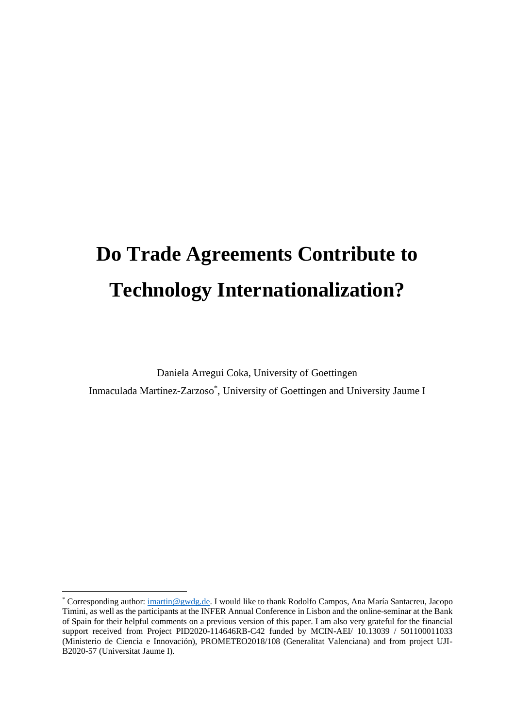# **Do Trade Agreements Contribute to Technology Internationalization?**

Daniela Arregui Coka, University of Goettingen Inmaculada Martínez-Zarzoso\* , University of Goettingen and University Jaume I

<sup>\*</sup> Corresponding author[: imartin@gwdg.de.](mailto:imartin@gwdg.de) I would like to thank Rodolfo Campos, Ana María Santacreu, Jacopo Timini, as well as the participants at the INFER Annual Conference in Lisbon and the online-seminar at the Bank of Spain for their helpful comments on a previous version of this paper. I am also very grateful for the financial support received from Project PID2020-114646RB-C42 funded by MCIN-AEI/ 10.13039 / 501100011033 (Ministerio de Ciencia e Innovación), PROMETEO2018/108 (Generalitat Valenciana) and from project UJI-B2020-57 (Universitat Jaume I).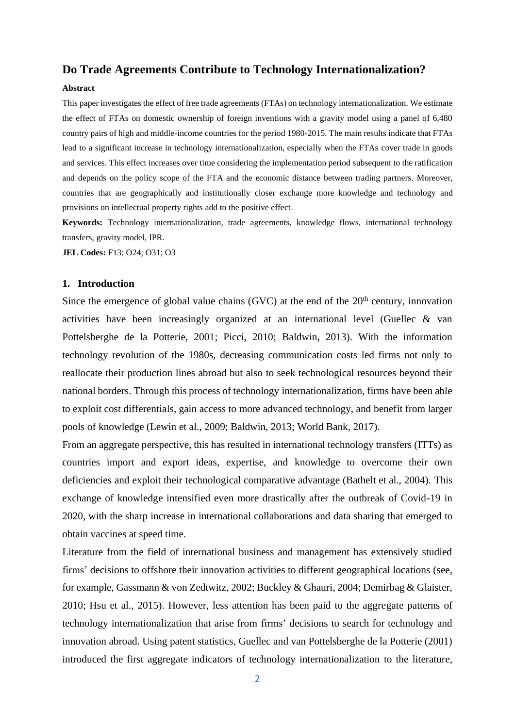## **Do Trade Agreements Contribute to Technology Internationalization?**

### **Abstract**

This paper investigates the effect of free trade agreements (FTAs) on technology internationalization. We estimate the effect of FTAs on domestic ownership of foreign inventions with a gravity model using a panel of 6,480 country pairs of high and middle-income countries for the period 1980-2015. The main results indicate that FTAs lead to a significant increase in technology internationalization, especially when the FTAs cover trade in goods and services. This effect increases over time considering the implementation period subsequent to the ratification and depends on the policy scope of the FTA and the economic distance between trading partners. Moreover, countries that are geographically and institutionally closer exchange more knowledge and technology and provisions on intellectual property rights add to the positive effect.

**Keywords:** Technology internationalization, trade agreements, knowledge flows, international technology transfers, gravity model, IPR.

**JEL Codes:** F13; O24; O31; O3

### **1. Introduction**

Since the emergence of global value chains (GVC) at the end of the  $20<sup>th</sup>$  century, innovation activities have been increasingly organized at an international level (Guellec & van Pottelsberghe de la Potterie, 2001; Picci, 2010; Baldwin, 2013). With the information technology revolution of the 1980s, decreasing communication costs led firms not only to reallocate their production lines abroad but also to seek technological resources beyond their national borders. Through this process of technology internationalization, firms have been able to exploit cost differentials, gain access to more advanced technology, and benefit from larger pools of knowledge (Lewin et al., 2009; Baldwin, 2013; World Bank, 2017).

From an aggregate perspective, this has resulted in international technology transfers (ITTs) as countries import and export ideas, expertise, and knowledge to overcome their own deficiencies and exploit their technological comparative advantage (Bathelt et al., 2004). This exchange of knowledge intensified even more drastically after the outbreak of Covid-19 in 2020, with the sharp increase in international collaborations and data sharing that emerged to obtain vaccines at speed time.

Literature from the field of international business and management has extensively studied firms' decisions to offshore their innovation activities to different geographical locations (see, for example, Gassmann & von Zedtwitz, 2002; Buckley & Ghauri, 2004; Demirbag & Glaister, 2010; Hsu et al., 2015). However, less attention has been paid to the aggregate patterns of technology internationalization that arise from firms' decisions to search for technology and innovation abroad. Using patent statistics, Guellec and van Pottelsberghe de la Potterie (2001) introduced the first aggregate indicators of technology internationalization to the literature,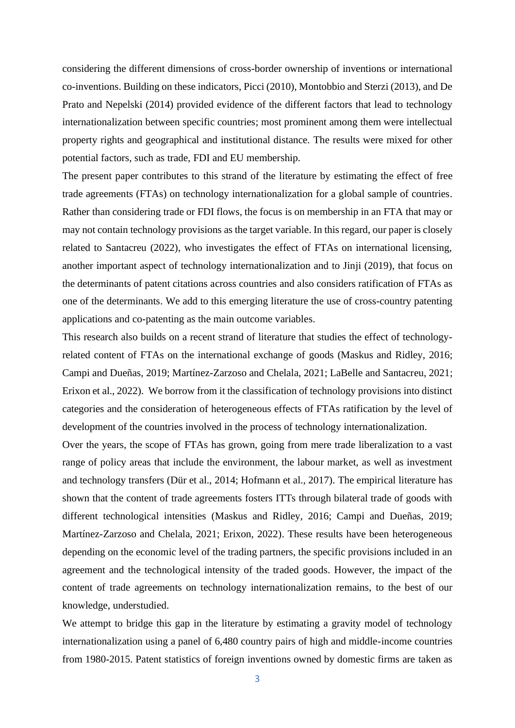considering the different dimensions of cross-border ownership of inventions or international co-inventions. Building on these indicators, Picci (2010), Montobbio and Sterzi (2013), and De Prato and Nepelski (2014) provided evidence of the different factors that lead to technology internationalization between specific countries; most prominent among them were intellectual property rights and geographical and institutional distance. The results were mixed for other potential factors, such as trade, FDI and EU membership.

The present paper contributes to this strand of the literature by estimating the effect of free trade agreements (FTAs) on technology internationalization for a global sample of countries. Rather than considering trade or FDI flows, the focus is on membership in an FTA that may or may not contain technology provisions as the target variable. In this regard, our paper is closely related to Santacreu (2022), who investigates the effect of FTAs on international licensing, another important aspect of technology internationalization and to Jinji (2019), that focus on the determinants of patent citations across countries and also considers ratification of FTAs as one of the determinants. We add to this emerging literature the use of cross-country patenting applications and co-patenting as the main outcome variables.

This research also builds on a recent strand of literature that studies the effect of technologyrelated content of FTAs on the international exchange of goods (Maskus and Ridley, 2016; Campi and Dueñas, 2019; Martínez-Zarzoso and Chelala, 2021; LaBelle and Santacreu, 2021; Erixon et al., 2022). We borrow from it the classification of technology provisions into distinct categories and the consideration of heterogeneous effects of FTAs ratification by the level of development of the countries involved in the process of technology internationalization.

Over the years, the scope of FTAs has grown, going from mere trade liberalization to a vast range of policy areas that include the environment, the labour market, as well as investment and technology transfers (Dür et al., 2014; Hofmann et al., 2017). The empirical literature has shown that the content of trade agreements fosters ITTs through bilateral trade of goods with different technological intensities (Maskus and Ridley, 2016; Campi and Dueñas, 2019; Martínez-Zarzoso and Chelala, 2021; Erixon, 2022). These results have been heterogeneous depending on the economic level of the trading partners, the specific provisions included in an agreement and the technological intensity of the traded goods. However, the impact of the content of trade agreements on technology internationalization remains, to the best of our knowledge, understudied.

We attempt to bridge this gap in the literature by estimating a gravity model of technology internationalization using a panel of 6,480 country pairs of high and middle-income countries from 1980-2015. Patent statistics of foreign inventions owned by domestic firms are taken as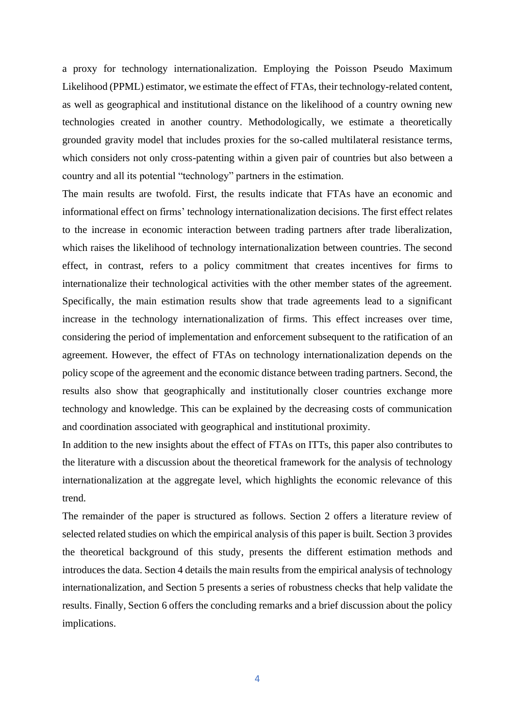a proxy for technology internationalization. Employing the Poisson Pseudo Maximum Likelihood (PPML) estimator, we estimate the effect of FTAs, their technology-related content, as well as geographical and institutional distance on the likelihood of a country owning new technologies created in another country. Methodologically, we estimate a theoretically grounded gravity model that includes proxies for the so-called multilateral resistance terms, which considers not only cross-patenting within a given pair of countries but also between a country and all its potential "technology" partners in the estimation.

The main results are twofold. First, the results indicate that FTAs have an economic and informational effect on firms' technology internationalization decisions. The first effect relates to the increase in economic interaction between trading partners after trade liberalization, which raises the likelihood of technology internationalization between countries. The second effect, in contrast, refers to a policy commitment that creates incentives for firms to internationalize their technological activities with the other member states of the agreement. Specifically, the main estimation results show that trade agreements lead to a significant increase in the technology internationalization of firms. This effect increases over time, considering the period of implementation and enforcement subsequent to the ratification of an agreement. However, the effect of FTAs on technology internationalization depends on the policy scope of the agreement and the economic distance between trading partners. Second, the results also show that geographically and institutionally closer countries exchange more technology and knowledge. This can be explained by the decreasing costs of communication and coordination associated with geographical and institutional proximity.

In addition to the new insights about the effect of FTAs on ITTs, this paper also contributes to the literature with a discussion about the theoretical framework for the analysis of technology internationalization at the aggregate level, which highlights the economic relevance of this trend.

The remainder of the paper is structured as follows. Section 2 offers a literature review of selected related studies on which the empirical analysis of this paper is built. Section 3 provides the theoretical background of this study, presents the different estimation methods and introduces the data. Section 4 details the main results from the empirical analysis of technology internationalization, and Section 5 presents a series of robustness checks that help validate the results. Finally, Section 6 offers the concluding remarks and a brief discussion about the policy implications.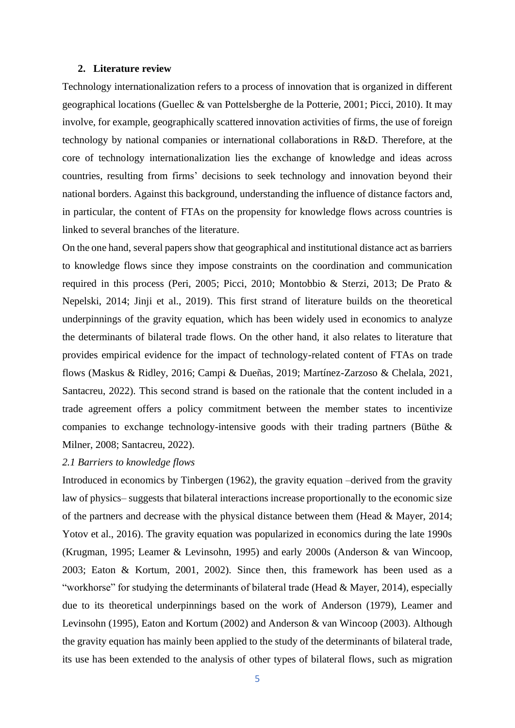### **2. Literature review**

Technology internationalization refers to a process of innovation that is organized in different geographical locations (Guellec & van Pottelsberghe de la Potterie, 2001; Picci, 2010). It may involve, for example, geographically scattered innovation activities of firms, the use of foreign technology by national companies or international collaborations in R&D. Therefore, at the core of technology internationalization lies the exchange of knowledge and ideas across countries, resulting from firms' decisions to seek technology and innovation beyond their national borders. Against this background, understanding the influence of distance factors and, in particular, the content of FTAs on the propensity for knowledge flows across countries is linked to several branches of the literature.

On the one hand, several papers show that geographical and institutional distance act as barriers to knowledge flows since they impose constraints on the coordination and communication required in this process (Peri, 2005; Picci, 2010; Montobbio & Sterzi, 2013; De Prato & Nepelski, 2014; Jinji et al., 2019). This first strand of literature builds on the theoretical underpinnings of the gravity equation, which has been widely used in economics to analyze the determinants of bilateral trade flows. On the other hand, it also relates to literature that provides empirical evidence for the impact of technology-related content of FTAs on trade flows (Maskus & Ridley, 2016; Campi & Dueñas, 2019; Martínez-Zarzoso & Chelala, 2021, Santacreu, 2022). This second strand is based on the rationale that the content included in a trade agreement offers a policy commitment between the member states to incentivize companies to exchange technology-intensive goods with their trading partners (Büthe & Milner, 2008; Santacreu, 2022).

### *2.1 Barriers to knowledge flows*

Introduced in economics by Tinbergen (1962), the gravity equation –derived from the gravity law of physics– suggests that bilateral interactions increase proportionally to the economic size of the partners and decrease with the physical distance between them (Head & Mayer, 2014; Yotov et al., 2016). The gravity equation was popularized in economics during the late 1990s (Krugman, 1995; Leamer & Levinsohn, 1995) and early 2000s (Anderson & van Wincoop, 2003; Eaton & Kortum, 2001, 2002). Since then, this framework has been used as a "workhorse" for studying the determinants of bilateral trade (Head & Mayer, 2014), especially due to its theoretical underpinnings based on the work of Anderson (1979), Leamer and Levinsohn (1995), Eaton and Kortum (2002) and Anderson & van Wincoop (2003). Although the gravity equation has mainly been applied to the study of the determinants of bilateral trade, its use has been extended to the analysis of other types of bilateral flows, such as migration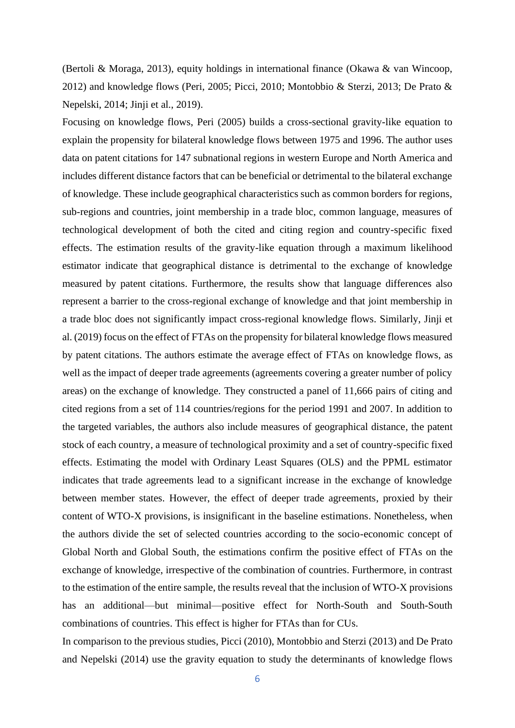(Bertoli & Moraga, 2013), equity holdings in international finance (Okawa & van Wincoop, 2012) and knowledge flows (Peri, 2005; Picci, 2010; Montobbio & Sterzi, 2013; De Prato & Nepelski, 2014; Jinji et al., 2019).

Focusing on knowledge flows, Peri (2005) builds a cross-sectional gravity-like equation to explain the propensity for bilateral knowledge flows between 1975 and 1996. The author uses data on patent citations for 147 subnational regions in western Europe and North America and includes different distance factors that can be beneficial or detrimental to the bilateral exchange of knowledge. These include geographical characteristics such as common borders for regions, sub-regions and countries, joint membership in a trade bloc, common language, measures of technological development of both the cited and citing region and country-specific fixed effects. The estimation results of the gravity-like equation through a maximum likelihood estimator indicate that geographical distance is detrimental to the exchange of knowledge measured by patent citations. Furthermore, the results show that language differences also represent a barrier to the cross-regional exchange of knowledge and that joint membership in a trade bloc does not significantly impact cross-regional knowledge flows. Similarly, Jinji et al. (2019) focus on the effect of FTAs on the propensity for bilateral knowledge flows measured by patent citations. The authors estimate the average effect of FTAs on knowledge flows, as well as the impact of deeper trade agreements (agreements covering a greater number of policy areas) on the exchange of knowledge. They constructed a panel of 11,666 pairs of citing and cited regions from a set of 114 countries/regions for the period 1991 and 2007. In addition to the targeted variables, the authors also include measures of geographical distance, the patent stock of each country, a measure of technological proximity and a set of country-specific fixed effects. Estimating the model with Ordinary Least Squares (OLS) and the PPML estimator indicates that trade agreements lead to a significant increase in the exchange of knowledge between member states. However, the effect of deeper trade agreements, proxied by their content of WTO-X provisions, is insignificant in the baseline estimations. Nonetheless, when the authors divide the set of selected countries according to the socio-economic concept of Global North and Global South, the estimations confirm the positive effect of FTAs on the exchange of knowledge, irrespective of the combination of countries. Furthermore, in contrast to the estimation of the entire sample, the results reveal that the inclusion of WTO-X provisions has an additional—but minimal—positive effect for North-South and South-South combinations of countries. This effect is higher for FTAs than for CUs.

In comparison to the previous studies, Picci (2010), Montobbio and Sterzi (2013) and De Prato and Nepelski (2014) use the gravity equation to study the determinants of knowledge flows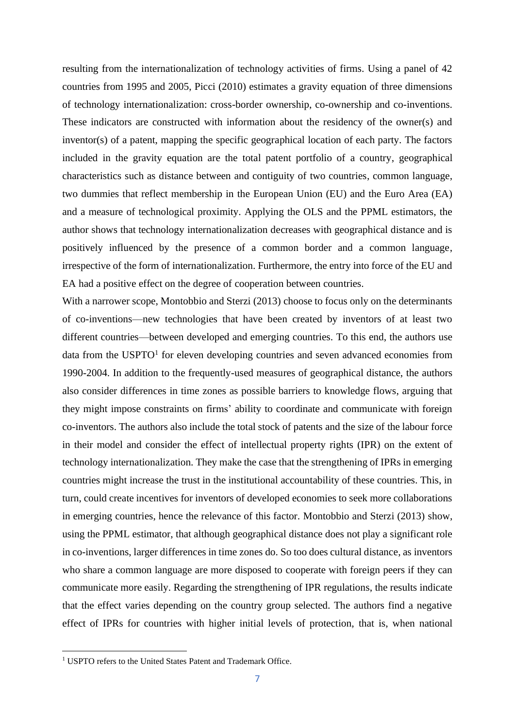resulting from the internationalization of technology activities of firms. Using a panel of 42 countries from 1995 and 2005, Picci (2010) estimates a gravity equation of three dimensions of technology internationalization: cross-border ownership, co-ownership and co-inventions. These indicators are constructed with information about the residency of the owner(s) and inventor(s) of a patent, mapping the specific geographical location of each party. The factors included in the gravity equation are the total patent portfolio of a country, geographical characteristics such as distance between and contiguity of two countries, common language, two dummies that reflect membership in the European Union (EU) and the Euro Area (EA) and a measure of technological proximity. Applying the OLS and the PPML estimators, the author shows that technology internationalization decreases with geographical distance and is positively influenced by the presence of a common border and a common language, irrespective of the form of internationalization. Furthermore, the entry into force of the EU and EA had a positive effect on the degree of cooperation between countries.

With a narrower scope, Montobbio and Sterzi (2013) choose to focus only on the determinants of co-inventions—new technologies that have been created by inventors of at least two different countries—between developed and emerging countries. To this end, the authors use data from the USPTO<sup>1</sup> for eleven developing countries and seven advanced economies from 1990-2004. In addition to the frequently-used measures of geographical distance, the authors also consider differences in time zones as possible barriers to knowledge flows, arguing that they might impose constraints on firms' ability to coordinate and communicate with foreign co-inventors. The authors also include the total stock of patents and the size of the labour force in their model and consider the effect of intellectual property rights (IPR) on the extent of technology internationalization. They make the case that the strengthening of IPRs in emerging countries might increase the trust in the institutional accountability of these countries. This, in turn, could create incentives for inventors of developed economies to seek more collaborations in emerging countries, hence the relevance of this factor. Montobbio and Sterzi (2013) show, using the PPML estimator, that although geographical distance does not play a significant role in co-inventions, larger differences in time zones do. So too does cultural distance, as inventors who share a common language are more disposed to cooperate with foreign peers if they can communicate more easily. Regarding the strengthening of IPR regulations, the results indicate that the effect varies depending on the country group selected. The authors find a negative effect of IPRs for countries with higher initial levels of protection, that is, when national

<sup>&</sup>lt;sup>1</sup> USPTO refers to the United States Patent and Trademark Office.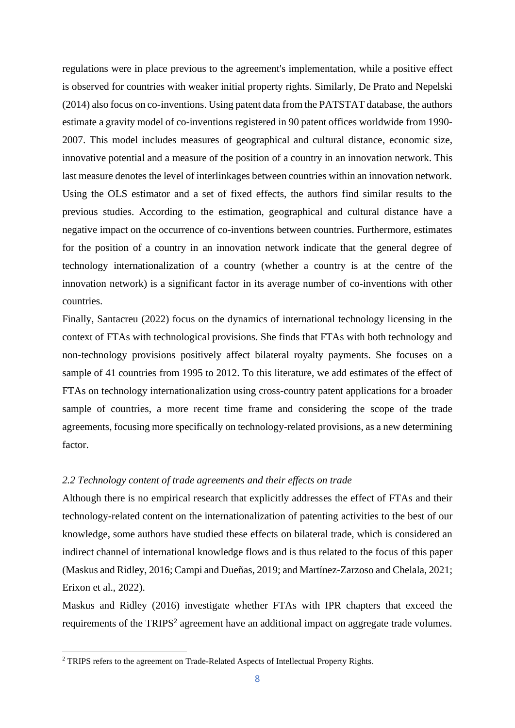regulations were in place previous to the agreement's implementation, while a positive effect is observed for countries with weaker initial property rights. Similarly, De Prato and Nepelski (2014) also focus on co-inventions. Using patent data from the PATSTAT database, the authors estimate a gravity model of co-inventions registered in 90 patent offices worldwide from 1990- 2007. This model includes measures of geographical and cultural distance, economic size, innovative potential and a measure of the position of a country in an innovation network. This last measure denotes the level of interlinkages between countries within an innovation network. Using the OLS estimator and a set of fixed effects, the authors find similar results to the previous studies. According to the estimation, geographical and cultural distance have a negative impact on the occurrence of co-inventions between countries. Furthermore, estimates for the position of a country in an innovation network indicate that the general degree of technology internationalization of a country (whether a country is at the centre of the innovation network) is a significant factor in its average number of co-inventions with other countries.

Finally, Santacreu (2022) focus on the dynamics of international technology licensing in the context of FTAs with technological provisions. She finds that FTAs with both technology and non-technology provisions positively affect bilateral royalty payments. She focuses on a sample of 41 countries from 1995 to 2012. To this literature, we add estimates of the effect of FTAs on technology internationalization using cross-country patent applications for a broader sample of countries, a more recent time frame and considering the scope of the trade agreements, focusing more specifically on technology-related provisions, as a new determining factor.

## *2.2 Technology content of trade agreements and their effects on trade*

Although there is no empirical research that explicitly addresses the effect of FTAs and their technology-related content on the internationalization of patenting activities to the best of our knowledge, some authors have studied these effects on bilateral trade, which is considered an indirect channel of international knowledge flows and is thus related to the focus of this paper (Maskus and Ridley, 2016; Campi and Dueñas, 2019; and Martínez-Zarzoso and Chelala, 2021; Erixon et al., 2022).

Maskus and Ridley (2016) investigate whether FTAs with IPR chapters that exceed the requirements of the TRIPS<sup>2</sup> agreement have an additional impact on aggregate trade volumes.

<sup>&</sup>lt;sup>2</sup> TRIPS refers to the agreement on Trade-Related Aspects of Intellectual Property Rights.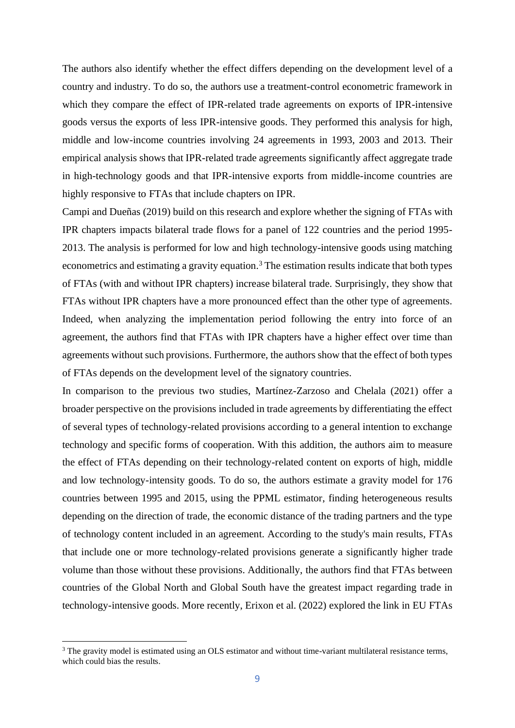The authors also identify whether the effect differs depending on the development level of a country and industry. To do so, the authors use a treatment-control econometric framework in which they compare the effect of IPR-related trade agreements on exports of IPR-intensive goods versus the exports of less IPR-intensive goods. They performed this analysis for high, middle and low-income countries involving 24 agreements in 1993, 2003 and 2013. Their empirical analysis shows that IPR-related trade agreements significantly affect aggregate trade in high-technology goods and that IPR-intensive exports from middle-income countries are highly responsive to FTAs that include chapters on IPR.

Campi and Dueñas (2019) build on this research and explore whether the signing of FTAs with IPR chapters impacts bilateral trade flows for a panel of 122 countries and the period 1995- 2013. The analysis is performed for low and high technology-intensive goods using matching econometrics and estimating a gravity equation.<sup>3</sup> The estimation results indicate that both types of FTAs (with and without IPR chapters) increase bilateral trade. Surprisingly, they show that FTAs without IPR chapters have a more pronounced effect than the other type of agreements. Indeed, when analyzing the implementation period following the entry into force of an agreement, the authors find that FTAs with IPR chapters have a higher effect over time than agreements without such provisions. Furthermore, the authors show that the effect of both types of FTAs depends on the development level of the signatory countries.

In comparison to the previous two studies, Martínez-Zarzoso and Chelala (2021) offer a broader perspective on the provisions included in trade agreements by differentiating the effect of several types of technology-related provisions according to a general intention to exchange technology and specific forms of cooperation. With this addition, the authors aim to measure the effect of FTAs depending on their technology-related content on exports of high, middle and low technology-intensity goods. To do so, the authors estimate a gravity model for 176 countries between 1995 and 2015, using the PPML estimator, finding heterogeneous results depending on the direction of trade, the economic distance of the trading partners and the type of technology content included in an agreement. According to the study's main results, FTAs that include one or more technology-related provisions generate a significantly higher trade volume than those without these provisions. Additionally, the authors find that FTAs between countries of the Global North and Global South have the greatest impact regarding trade in technology-intensive goods. More recently, Erixon et al. (2022) explored the link in EU FTAs

<sup>&</sup>lt;sup>3</sup> The gravity model is estimated using an OLS estimator and without time-variant multilateral resistance terms, which could bias the results.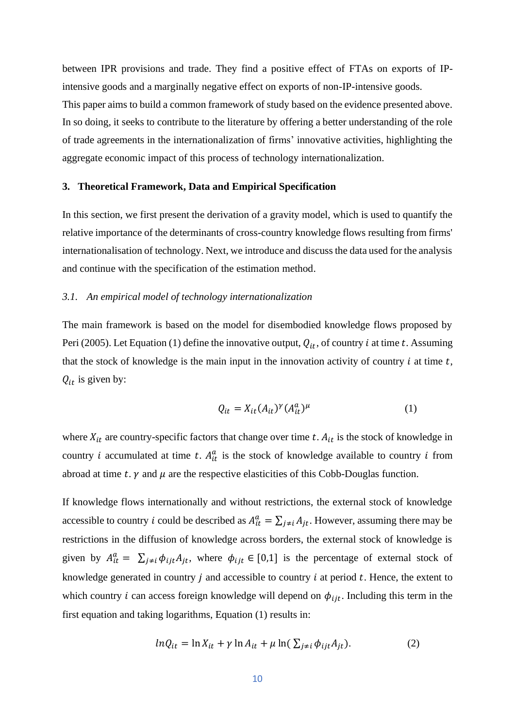between IPR provisions and trade. They find a positive effect of FTAs on exports of IPintensive goods and a marginally negative effect on exports of non-IP-intensive goods. This paper aims to build a common framework of study based on the evidence presented above. In so doing, it seeks to contribute to the literature by offering a better understanding of the role of trade agreements in the internationalization of firms' innovative activities, highlighting the aggregate economic impact of this process of technology internationalization.

### **3. Theoretical Framework, Data and Empirical Specification**

In this section, we first present the derivation of a gravity model, which is used to quantify the relative importance of the determinants of cross-country knowledge flows resulting from firms' internationalisation of technology. Next, we introduce and discuss the data used for the analysis and continue with the specification of the estimation method.

### *3.1. An empirical model of technology internationalization*

The main framework is based on the model for disembodied knowledge flows proposed by Peri (2005). Let Equation (1) define the innovative output,  $Q_{it}$ , of country *i* at time *t*. Assuming that the stock of knowledge is the main input in the innovation activity of country  $i$  at time  $t$ ,  $Q_{it}$  is given by:

$$
Q_{it} = X_{it}(A_{it})^{\gamma} (A_{it}^a)^{\mu} \tag{1}
$$

where  $X_{it}$  are country-specific factors that change over time t.  $A_{it}$  is the stock of knowledge in country *i* accumulated at time *t*.  $A_{it}^a$  is the stock of knowledge available to country *i* from abroad at time t.  $\gamma$  and  $\mu$  are the respective elasticities of this Cobb-Douglas function.

If knowledge flows internationally and without restrictions, the external stock of knowledge accessible to country *i* could be described as  $A_{it}^a = \sum_{j \neq i} A_{jt}$ . However, assuming there may be restrictions in the diffusion of knowledge across borders, the external stock of knowledge is given by  $A_{it}^a = \sum_{j \neq i} \phi_{ijt} A_{jt}$ , where  $\phi_{ijt} \in [0,1]$  is the percentage of external stock of knowledge generated in country  $j$  and accessible to country  $i$  at period  $t$ . Hence, the extent to which country *i* can access foreign knowledge will depend on  $\phi_{ijt}$ . Including this term in the first equation and taking logarithms, Equation (1) results in:

$$
ln Q_{it} = \ln X_{it} + \gamma \ln A_{it} + \mu \ln(\sum_{j \neq i} \phi_{ijt} A_{jt}).
$$
 (2)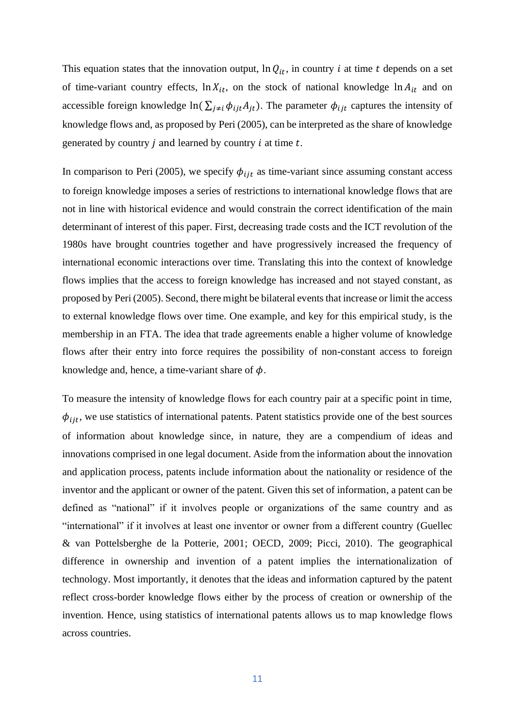This equation states that the innovation output,  $\ln Q_{it}$ , in country *i* at time *t* depends on a set of time-variant country effects,  $\ln X_{it}$ , on the stock of national knowledge  $\ln A_{it}$  and on accessible foreign knowledge ln( $\sum_{i\neq i} \phi_{ij} A_{jt}$ ). The parameter  $\phi_{ijt}$  captures the intensity of knowledge flows and, as proposed by Peri (2005), can be interpreted as the share of knowledge generated by country  $i$  and learned by country  $i$  at time  $t$ .

In comparison to Peri (2005), we specify  $\phi_{ijt}$  as time-variant since assuming constant access to foreign knowledge imposes a series of restrictions to international knowledge flows that are not in line with historical evidence and would constrain the correct identification of the main determinant of interest of this paper. First, decreasing trade costs and the ICT revolution of the 1980s have brought countries together and have progressively increased the frequency of international economic interactions over time. Translating this into the context of knowledge flows implies that the access to foreign knowledge has increased and not stayed constant, as proposed by Peri (2005). Second, there might be bilateral events that increase or limit the access to external knowledge flows over time. One example, and key for this empirical study, is the membership in an FTA. The idea that trade agreements enable a higher volume of knowledge flows after their entry into force requires the possibility of non-constant access to foreign knowledge and, hence, a time-variant share of  $\phi$ .

To measure the intensity of knowledge flows for each country pair at a specific point in time,  $\phi_{iit}$ , we use statistics of international patents. Patent statistics provide one of the best sources of information about knowledge since, in nature, they are a compendium of ideas and innovations comprised in one legal document. Aside from the information about the innovation and application process, patents include information about the nationality or residence of the inventor and the applicant or owner of the patent. Given this set of information, a patent can be defined as "national" if it involves people or organizations of the same country and as "international" if it involves at least one inventor or owner from a different country (Guellec & van Pottelsberghe de la Potterie, 2001; OECD, 2009; Picci, 2010). The geographical difference in ownership and invention of a patent implies the internationalization of technology. Most importantly, it denotes that the ideas and information captured by the patent reflect cross-border knowledge flows either by the process of creation or ownership of the invention. Hence, using statistics of international patents allows us to map knowledge flows across countries.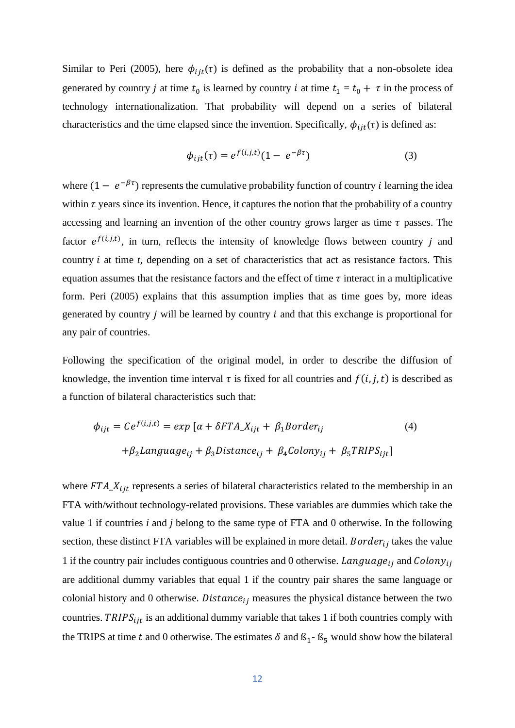Similar to Peri (2005), here  $\phi_{ijt}(\tau)$  is defined as the probability that a non-obsolete idea generated by country *j* at time  $t_0$  is learned by country *i* at time  $t_1 = t_0 + \tau$  in the process of technology internationalization. That probability will depend on a series of bilateral characteristics and the time elapsed since the invention. Specifically,  $\phi_{iit}(\tau)$  is defined as:

$$
\phi_{ijt}(\tau) = e^{f(i,j,t)}(1 - e^{-\beta \tau})
$$
\n(3)

where  $(1 - e^{-\beta \tau})$  represents the cumulative probability function of country *i* learning the idea within  $\tau$  years since its invention. Hence, it captures the notion that the probability of a country accessing and learning an invention of the other country grows larger as time  $\tau$  passes. The factor  $e^{f(i,j,t)}$ , in turn, reflects the intensity of knowledge flows between country j and country  $i$  at time  $t$ , depending on a set of characteristics that act as resistance factors. This equation assumes that the resistance factors and the effect of time  $\tau$  interact in a multiplicative form. Peri (2005) explains that this assumption implies that as time goes by, more ideas generated by country  $j$  will be learned by country  $i$  and that this exchange is proportional for any pair of countries.

Following the specification of the original model, in order to describe the diffusion of knowledge, the invention time interval  $\tau$  is fixed for all countries and  $f(i, j, t)$  is described as a function of bilateral characteristics such that:

$$
\phi_{ijt} = Ce^{f(i,j,t)} = exp [\alpha + \delta FTA_{ijt} + \beta_1 Border_{ij} \tag{4}
$$

$$
+ \beta_2 Language_{ij} + \beta_3 Distance_{ij} + \beta_4 Colony_{ij} + \beta_5 TRIPS_{ijt}]
$$

where  $FTA_{\perp}X_{i}$  represents a series of bilateral characteristics related to the membership in an FTA with/without technology-related provisions. These variables are dummies which take the value 1 if countries *i* and *j* belong to the same type of FTA and 0 otherwise. In the following section, these distinct FTA variables will be explained in more detail. Border $r_{ij}$  takes the value 1 if the country pair includes contiguous countries and 0 otherwise.  $Language_{ij}$  and  $Colony_{ij}$ are additional dummy variables that equal 1 if the country pair shares the same language or colonial history and 0 otherwise. Distance<sub>ij</sub> measures the physical distance between the two countries.  $TRIPS_{i}$  is an additional dummy variable that takes 1 if both countries comply with the TRIPS at time t and 0 otherwise. The estimates  $\delta$  and  $\beta_1$ -  $\beta_5$  would show how the bilateral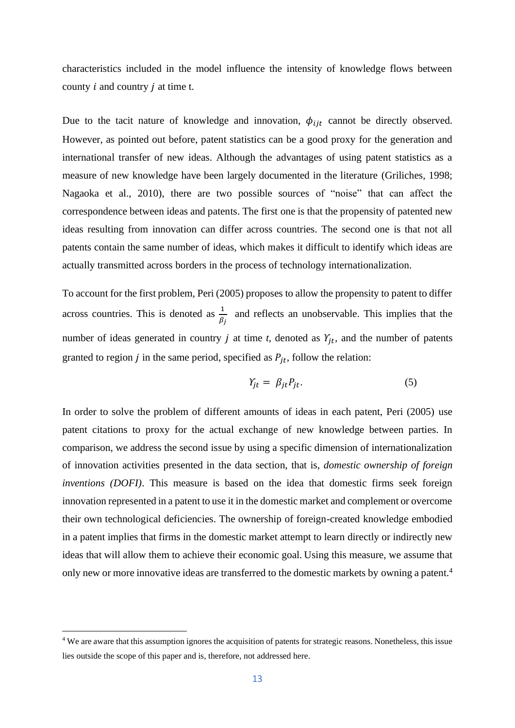characteristics included in the model influence the intensity of knowledge flows between country  $i$  and country  $j$  at time t.

Due to the tacit nature of knowledge and innovation,  $\phi_{ijt}$  cannot be directly observed. However, as pointed out before, patent statistics can be a good proxy for the generation and international transfer of new ideas. Although the advantages of using patent statistics as a measure of new knowledge have been largely documented in the literature (Griliches, 1998; Nagaoka et al., 2010), there are two possible sources of "noise" that can affect the correspondence between ideas and patents. The first one is that the propensity of patented new ideas resulting from innovation can differ across countries. The second one is that not all patents contain the same number of ideas, which makes it difficult to identify which ideas are actually transmitted across borders in the process of technology internationalization.

To account for the first problem, Peri (2005) proposes to allow the propensity to patent to differ across countries. This is denoted as  $\frac{1}{\beta_j}$  and reflects an unobservable. This implies that the number of ideas generated in country  $j$  at time  $t$ , denoted as  $Y_{it}$ , and the number of patents granted to region *j* in the same period, specified as  $P_{it}$ , follow the relation:

$$
Y_{jt} = \beta_{jt} P_{jt}.\tag{5}
$$

In order to solve the problem of different amounts of ideas in each patent, Peri (2005) use patent citations to proxy for the actual exchange of new knowledge between parties. In comparison, we address the second issue by using a specific dimension of internationalization of innovation activities presented in the data section, that is, *domestic ownership of foreign inventions (DOFI)*. This measure is based on the idea that domestic firms seek foreign innovation represented in a patent to use it in the domestic market and complement or overcome their own technological deficiencies. The ownership of foreign-created knowledge embodied in a patent implies that firms in the domestic market attempt to learn directly or indirectly new ideas that will allow them to achieve their economic goal. Using this measure, we assume that only new or more innovative ideas are transferred to the domestic markets by owning a patent.<sup>4</sup>

<sup>&</sup>lt;sup>4</sup> We are aware that this assumption ignores the acquisition of patents for strategic reasons. Nonetheless, this issue lies outside the scope of this paper and is, therefore, not addressed here.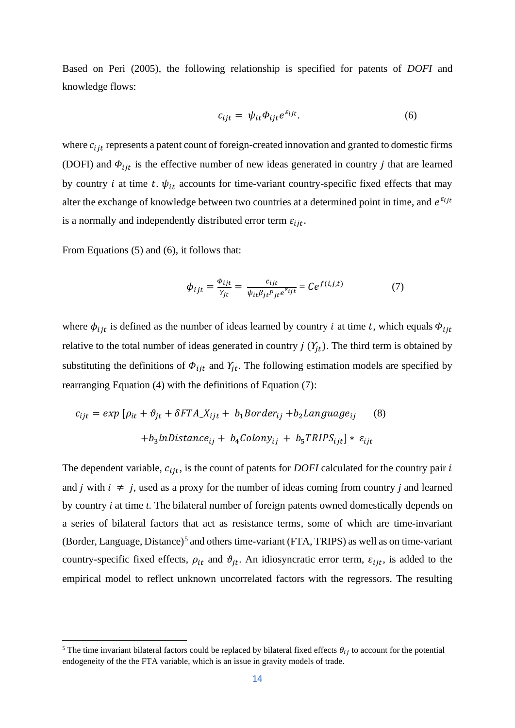Based on Peri (2005), the following relationship is specified for patents of *DOFI* and knowledge flows:

$$
c_{ijt} = \psi_{it} \Phi_{ijt} e^{\varepsilon_{ijt}}.
$$
 (6)

where  $c_{i j t}$  represents a patent count of foreign-created innovation and granted to domestic firms (DOFI) and  $\Phi_{ijt}$  is the effective number of new ideas generated in country *j* that are learned by country *i* at time *t*.  $\psi_{it}$  accounts for time-variant country-specific fixed effects that may alter the exchange of knowledge between two countries at a determined point in time, and  $e^{\varepsilon_{ijt}}$ is a normally and independently distributed error term  $\varepsilon_{iit}$ .

From Equations (5) and (6), it follows that:

$$
\phi_{ijt} = \frac{\phi_{ijt}}{Y_{jt}} = \frac{c_{ijt}}{\psi_{it}\beta_{jt}P_{jt}e^{\varepsilon_{ijt}}} = Ce^{f(i,j,t)} \tag{7}
$$

where  $\phi_{i}$  is defined as the number of ideas learned by country *i* at time *t*, which equals  $\phi_{i}$ relative to the total number of ideas generated in country  $j(Y_{it})$ . The third term is obtained by substituting the definitions of  $\Phi_{ijt}$  and  $Y_{jt}$ . The following estimation models are specified by rearranging Equation (4) with the definitions of Equation (7):

$$
c_{ijt} = exp [\rho_{it} + \vartheta_{jt} + \delta FTA \underline{X}_{ijt} + b_1 Border_{ij} + b_2 Language_{ij} \qquad (8)
$$

$$
+ b_3 InDistance_{ij} + b_4 Colony_{ij} + b_5 TRIPS_{ijt}] * \varepsilon_{ijt}
$$

The dependent variable,  $c_{iit}$ , is the count of patents for *DOFI* calculated for the country pair  $i$ and *j* with  $i \neq j$ , used as a proxy for the number of ideas coming from country *j* and learned by country *i* at time *t*. The bilateral number of foreign patents owned domestically depends on a series of bilateral factors that act as resistance terms, some of which are time-invariant (Border, Language, Distance)<sup>5</sup> and others time-variant (FTA, TRIPS) as well as on time-variant country-specific fixed effects,  $\rho_{it}$  and  $\vartheta_{jt}$ . An idiosyncratic error term,  $\varepsilon_{ijt}$ , is added to the empirical model to reflect unknown uncorrelated factors with the regressors. The resulting

<sup>&</sup>lt;sup>5</sup> The time invariant bilateral factors could be replaced by bilateral fixed effects  $\theta_{ij}$  to account for the potential endogeneity of the the FTA variable, which is an issue in gravity models of trade.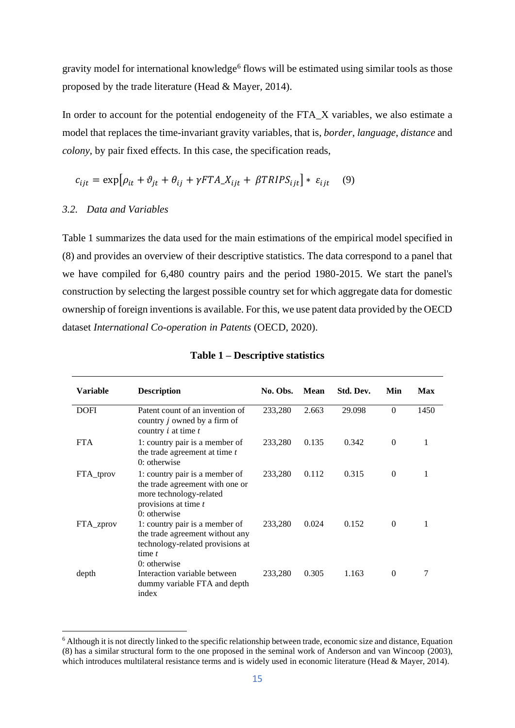gravity model for international knowledge<sup>6</sup> flows will be estimated using similar tools as those proposed by the trade literature (Head & Mayer, 2014).

In order to account for the potential endogeneity of the FTA\_X variables, we also estimate a model that replaces the time-invariant gravity variables, that is, *border*, *language*, *distance* and *colony,* by pair fixed effects. In this case, the specification reads,

$$
c_{ijt} = \exp[\rho_{it} + \vartheta_{jt} + \theta_{ij} + \gamma FTA \_\ X_{ijt} + \beta TRIPS_{ijt}] * \varepsilon_{ijt} \tag{9}
$$

### *3.2. Data and Variables*

Table 1 summarizes the data used for the main estimations of the empirical model specified in (8) and provides an overview of their descriptive statistics. The data correspond to a panel that we have compiled for 6,480 country pairs and the period 1980-2015. We start the panel's construction by selecting the largest possible country set for which aggregate data for domestic ownership of foreign inventions is available. For this, we use patent data provided by the OECD dataset *International Co-operation in Patents* (OECD, 2020).

| <b>Variable</b> | <b>Description</b>                                                                                                                     | No. Obs. | Mean  | Std. Dev. | Min      | Max  |
|-----------------|----------------------------------------------------------------------------------------------------------------------------------------|----------|-------|-----------|----------|------|
| <b>DOFI</b>     | Patent count of an invention of<br>country <i>j</i> owned by a firm of<br>country $i$ at time $t$                                      | 233,280  | 2.663 | 29.098    | $\Omega$ | 1450 |
| <b>FTA</b>      | 1: country pair is a member of<br>the trade agreement at time $t$<br>$0$ : otherwise                                                   | 233,280  | 0.135 | 0.342     | $\theta$ | 1    |
| FTA tprov       | 1: country pair is a member of<br>the trade agreement with one or<br>more technology-related<br>provisions at time t<br>$0:$ otherwise | 233,280  | 0.112 | 0.315     | $\Omega$ | 1    |
| FTA_zprov       | 1: country pair is a member of<br>the trade agreement without any<br>technology-related provisions at<br>time $t$<br>$0$ : otherwise   | 233,280  | 0.024 | 0.152     | $\Omega$ |      |
| depth           | Interaction variable between<br>dummy variable FTA and depth<br>index                                                                  | 233,280  | 0.305 | 1.163     | $\Omega$ | 7    |

<sup>&</sup>lt;sup>6</sup> Although it is not directly linked to the specific relationship between trade, economic size and distance, Equation (8) has a similar structural form to the one proposed in the seminal work of Anderson and van Wincoop (2003), which introduces multilateral resistance terms and is widely used in economic literature (Head & Mayer, 2014).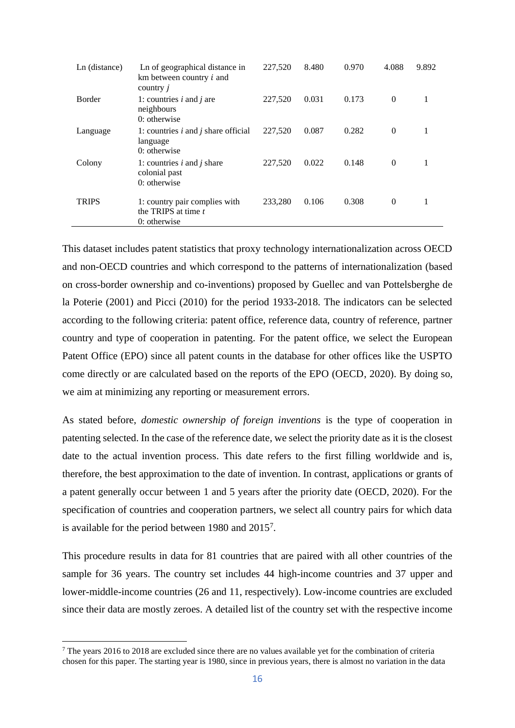| Ln (distance) | Ln of geographical distance in<br>km between country $i$ and<br>country j | 227,520 | 8.480 | 0.970 | 4.088    | 9.892 |
|---------------|---------------------------------------------------------------------------|---------|-------|-------|----------|-------|
| Border        | 1: countries $i$ and $j$ are<br>neighbours<br>$0$ : otherwise             | 227,520 | 0.031 | 0.173 | $\theta$ | 1     |
| Language      | 1: countries $i$ and $j$ share official<br>language<br>$0$ : otherwise    | 227,520 | 0.087 | 0.282 | $\theta$ | 1     |
| Colony        | 1: countries $i$ and $j$ share<br>colonial past<br>$0$ : otherwise        | 227,520 | 0.022 | 0.148 | $\Omega$ |       |
| <b>TRIPS</b>  | 1: country pair complies with<br>the TRIPS at time t<br>$0$ : otherwise   | 233,280 | 0.106 | 0.308 | $\Omega$ | 1     |

This dataset includes patent statistics that proxy technology internationalization across OECD and non-OECD countries and which correspond to the patterns of internationalization (based on cross-border ownership and co-inventions) proposed by Guellec and van Pottelsberghe de la Poterie (2001) and Picci (2010) for the period 1933-2018. The indicators can be selected according to the following criteria: patent office, reference data, country of reference, partner country and type of cooperation in patenting. For the patent office, we select the European Patent Office (EPO) since all patent counts in the database for other offices like the USPTO come directly or are calculated based on the reports of the EPO (OECD, 2020). By doing so, we aim at minimizing any reporting or measurement errors.

As stated before, *domestic ownership of foreign inventions* is the type of cooperation in patenting selected. In the case of the reference date, we select the priority date as it is the closest date to the actual invention process. This date refers to the first filling worldwide and is, therefore, the best approximation to the date of invention. In contrast, applications or grants of a patent generally occur between 1 and 5 years after the priority date (OECD, 2020). For the specification of countries and cooperation partners, we select all country pairs for which data is available for the period between 1980 and 2015<sup>7</sup> .

This procedure results in data for 81 countries that are paired with all other countries of the sample for 36 years. The country set includes 44 high-income countries and 37 upper and lower-middle-income countries (26 and 11, respectively). Low-income countries are excluded since their data are mostly zeroes. A detailed list of the country set with the respective income

<sup>7</sup> The years 2016 to 2018 are excluded since there are no values available yet for the combination of criteria chosen for this paper. The starting year is 1980, since in previous years, there is almost no variation in the data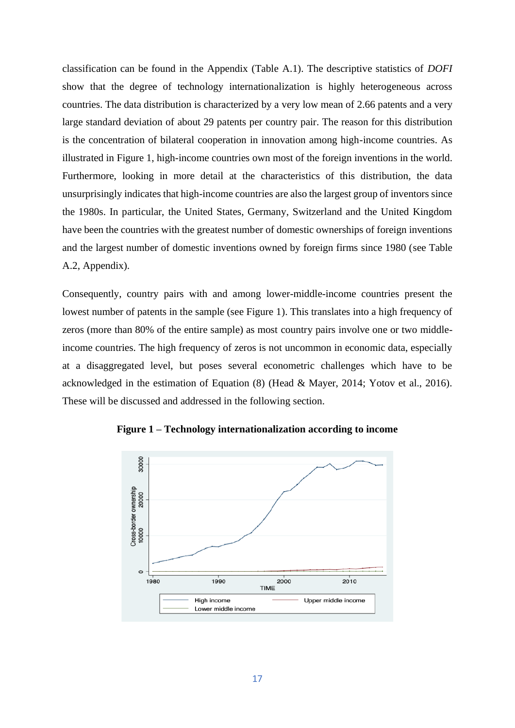classification can be found in the Appendix (Table A.1). The descriptive statistics of *DOFI* show that the degree of technology internationalization is highly heterogeneous across countries. The data distribution is characterized by a very low mean of 2.66 patents and a very large standard deviation of about 29 patents per country pair. The reason for this distribution is the concentration of bilateral cooperation in innovation among high-income countries. As illustrated in Figure 1, high-income countries own most of the foreign inventions in the world. Furthermore, looking in more detail at the characteristics of this distribution, the data unsurprisingly indicates that high-income countries are also the largest group of inventors since the 1980s. In particular, the United States, Germany, Switzerland and the United Kingdom have been the countries with the greatest number of domestic ownerships of foreign inventions and the largest number of domestic inventions owned by foreign firms since 1980 (see Table A.2, Appendix).

Consequently, country pairs with and among lower-middle-income countries present the lowest number of patents in the sample (see Figure 1). This translates into a high frequency of zeros (more than 80% of the entire sample) as most country pairs involve one or two middleincome countries. The high frequency of zeros is not uncommon in economic data, especially at a disaggregated level, but poses several econometric challenges which have to be acknowledged in the estimation of Equation (8) (Head & Mayer, 2014; Yotov et al., 2016). These will be discussed and addressed in the following section.



**Figure 1 – Technology internationalization according to income**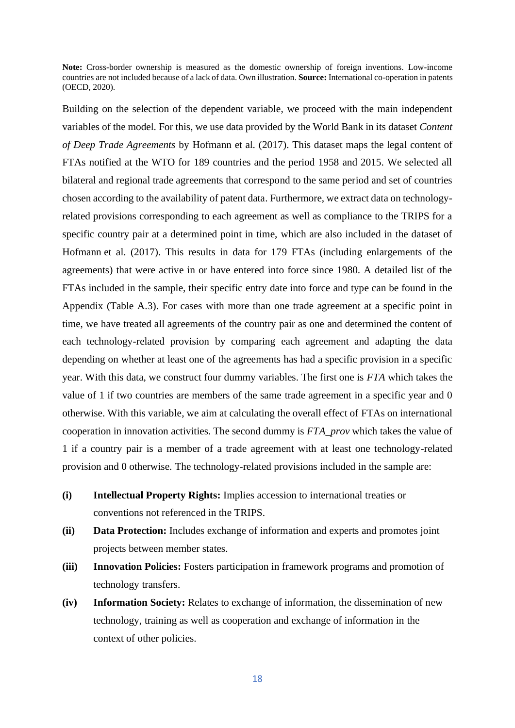**Note:** Cross-border ownership is measured as the domestic ownership of foreign inventions. Low-income countries are not included because of a lack of data. Own illustration. **Source:** International co-operation in patents (OECD, 2020).

Building on the selection of the dependent variable, we proceed with the main independent variables of the model. For this, we use data provided by the World Bank in its dataset *Content of Deep Trade Agreements* by Hofmann et al. (2017). This dataset maps the legal content of FTAs notified at the WTO for 189 countries and the period 1958 and 2015. We selected all bilateral and regional trade agreements that correspond to the same period and set of countries chosen according to the availability of patent data. Furthermore, we extract data on technologyrelated provisions corresponding to each agreement as well as compliance to the TRIPS for a specific country pair at a determined point in time, which are also included in the dataset of Hofmann et al. (2017). This results in data for 179 FTAs (including enlargements of the agreements) that were active in or have entered into force since 1980. A detailed list of the FTAs included in the sample, their specific entry date into force and type can be found in the Appendix (Table A.3). For cases with more than one trade agreement at a specific point in time, we have treated all agreements of the country pair as one and determined the content of each technology-related provision by comparing each agreement and adapting the data depending on whether at least one of the agreements has had a specific provision in a specific year. With this data, we construct four dummy variables. The first one is *FTA* which takes the value of 1 if two countries are members of the same trade agreement in a specific year and 0 otherwise. With this variable, we aim at calculating the overall effect of FTAs on international cooperation in innovation activities. The second dummy is *FTA\_prov* which takes the value of 1 if a country pair is a member of a trade agreement with at least one technology-related provision and 0 otherwise. The technology-related provisions included in the sample are:

- **(i) Intellectual Property Rights:** Implies accession to international treaties or conventions not referenced in the TRIPS.
- **(ii) Data Protection:** Includes exchange of information and experts and promotes joint projects between member states.
- **(iii) Innovation Policies:** Fosters participation in framework programs and promotion of technology transfers.
- **(iv) Information Society:** Relates to exchange of information, the dissemination of new technology, training as well as cooperation and exchange of information in the context of other policies.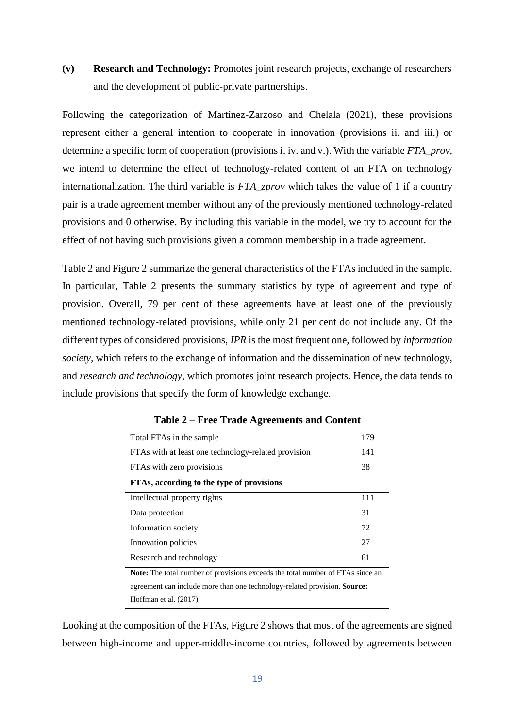**(v) Research and Technology:** Promotes joint research projects, exchange of researchers and the development of public-private partnerships.

Following the categorization of Martínez-Zarzoso and Chelala (2021), these provisions represent either a general intention to cooperate in innovation (provisions ii. and iii.) or determine a specific form of cooperation (provisions i. iv. and v.). With the variable *FTA\_prov,*  we intend to determine the effect of technology-related content of an FTA on technology internationalization. The third variable is *FTA\_zprov* which takes the value of 1 if a country pair is a trade agreement member without any of the previously mentioned technology-related provisions and 0 otherwise. By including this variable in the model, we try to account for the effect of not having such provisions given a common membership in a trade agreement.

Table 2 and Figure 2 summarize the general characteristics of the FTAs included in the sample. In particular, Table 2 presents the summary statistics by type of agreement and type of provision. Overall, 79 per cent of these agreements have at least one of the previously mentioned technology-related provisions, while only 21 per cent do not include any. Of the different types of considered provisions, *IPR* is the most frequent one, followed by *information society,* which refers to the exchange of information and the dissemination of new technology, and *research and technology*, which promotes joint research projects. Hence, the data tends to include provisions that specify the form of knowledge exchange.

| Total FTAs in the sample                                                       | 179 |  |  |
|--------------------------------------------------------------------------------|-----|--|--|
| FTAs with at least one technology-related provision                            | 141 |  |  |
| FTAs with zero provisions                                                      |     |  |  |
| FTAs, according to the type of provisions                                      |     |  |  |
| Intellectual property rights                                                   | 111 |  |  |
| Data protection                                                                | 31  |  |  |
| Information society                                                            | 72  |  |  |
| Innovation policies                                                            | 27  |  |  |
| Research and technology                                                        | 61  |  |  |
| Note: The total number of provisions exceeds the total number of FTAs since an |     |  |  |
| agreement can include more than one technology-related provision. Source:      |     |  |  |
| Hoffman et al. (2017).                                                         |     |  |  |

**Table 2 – Free Trade Agreements and Content**

Looking at the composition of the FTAs, Figure 2 shows that most of the agreements are signed between high-income and upper-middle-income countries, followed by agreements between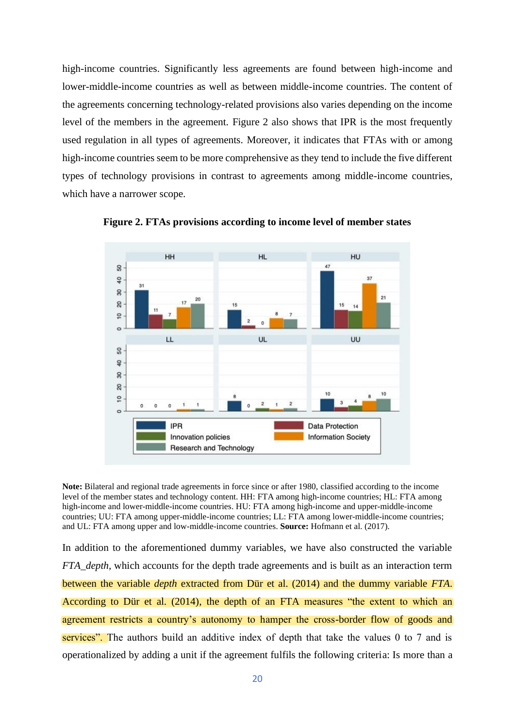high-income countries. Significantly less agreements are found between high-income and lower-middle-income countries as well as between middle-income countries. The content of the agreements concerning technology-related provisions also varies depending on the income level of the members in the agreement. Figure 2 also shows that IPR is the most frequently used regulation in all types of agreements. Moreover, it indicates that FTAs with or among high-income countries seem to be more comprehensive as they tend to include the five different types of technology provisions in contrast to agreements among middle-income countries, which have a narrower scope.



**Figure 2. FTAs provisions according to income level of member states**

**Note:** Bilateral and regional trade agreements in force since or after 1980, classified according to the income level of the member states and technology content. HH: FTA among high-income countries; HL: FTA among high-income and lower-middle-income countries. HU: FTA among high-income and upper-middle-income countries; UU: FTA among upper-middle-income countries; LL: FTA among lower-middle-income countries; and UL: FTA among upper and low-middle-income countries. **Source:** Hofmann et al. (2017).

In addition to the aforementioned dummy variables, we have also constructed the variable *FTA\_depth,* which accounts for the depth trade agreements and is built as an interaction term between the variable *depth* extracted from Dür et al. (2014) and the dummy variable *FTA*. According to Dür et al. (2014), the depth of an FTA measures "the extent to which an agreement restricts a country's autonomy to hamper the cross-border flow of goods and services". The authors build an additive index of depth that take the values 0 to 7 and is operationalized by adding a unit if the agreement fulfils the following criteria: Is more than a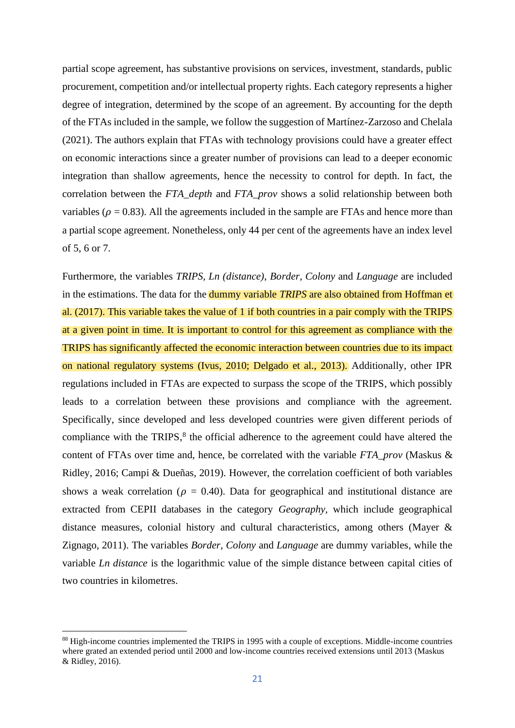partial scope agreement, has substantive provisions on services, investment, standards, public procurement, competition and/or intellectual property rights. Each category represents a higher degree of integration, determined by the scope of an agreement. By accounting for the depth of the FTAs included in the sample, we follow the suggestion of Martínez-Zarzoso and Chelala (2021). The authors explain that FTAs with technology provisions could have a greater effect on economic interactions since a greater number of provisions can lead to a deeper economic integration than shallow agreements, hence the necessity to control for depth. In fact, the correlation between the *FTA\_depth* and *FTA\_prov* shows a solid relationship between both variables ( $\rho = 0.83$ ). All the agreements included in the sample are FTAs and hence more than a partial scope agreement. Nonetheless, only 44 per cent of the agreements have an index level of 5, 6 or 7.

Furthermore, the variables *TRIPS*, *Ln (distance)*, *Border*, *Colony* and *Language* are included in the estimations. The data for the dummy variable *TRIPS* are also obtained from Hoffman et al. (2017). This variable takes the value of 1 if both countries in a pair comply with the TRIPS at a given point in time. It is important to control for this agreement as compliance with the TRIPS has significantly affected the economic interaction between countries due to its impact on national regulatory systems (Ivus, 2010; Delgado et al., 2013). Additionally, other IPR regulations included in FTAs are expected to surpass the scope of the TRIPS, which possibly leads to a correlation between these provisions and compliance with the agreement. Specifically, since developed and less developed countries were given different periods of compliance with the TRIPS,<sup>8</sup> the official adherence to the agreement could have altered the content of FTAs over time and, hence, be correlated with the variable *FTA\_prov* (Maskus & Ridley, 2016; Campi & Dueñas, 2019). However, the correlation coefficient of both variables shows a weak correlation ( $\rho = 0.40$ ). Data for geographical and institutional distance are extracted from CEPII databases in the category *Geography,* which include geographical distance measures, colonial history and cultural characteristics, among others (Mayer & Zignago, 2011). The variables *Border*, *Colony* and *Language* are dummy variables, while the variable *Ln distance* is the logarithmic value of the simple distance between capital cities of two countries in kilometres.

<sup>88</sup> High-income countries implemented the TRIPS in 1995 with a couple of exceptions. Middle-income countries where grated an extended period until 2000 and low-income countries received extensions until 2013 (Maskus & Ridley, 2016).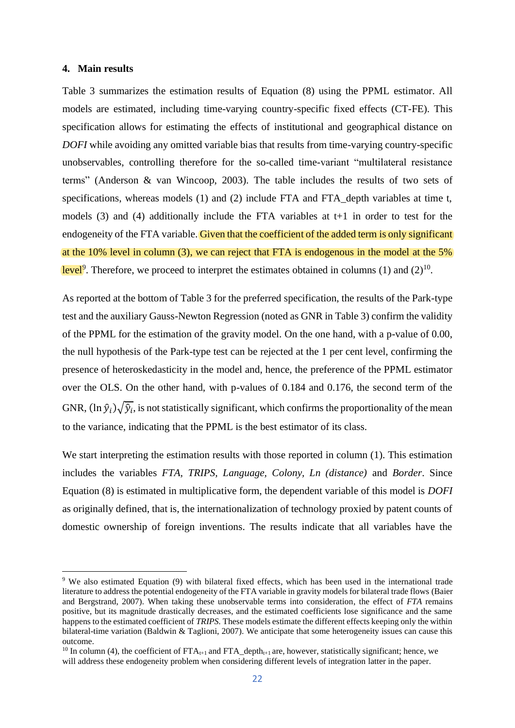### **4. Main results**

Table 3 summarizes the estimation results of Equation (8) using the PPML estimator. All models are estimated, including time-varying country-specific fixed effects (CT-FE). This specification allows for estimating the effects of institutional and geographical distance on *DOFI* while avoiding any omitted variable bias that results from time-varying country-specific unobservables, controlling therefore for the so-called time-variant "multilateral resistance terms" (Anderson & van Wincoop, 2003). The table includes the results of two sets of specifications, whereas models (1) and (2) include FTA and FTA\_depth variables at time t, models (3) and (4) additionally include the FTA variables at t+1 in order to test for the endogeneity of the FTA variable. Given that the coefficient of the added term is only significant at the 10% level in column (3), we can reject that FTA is endogenous in the model at the 5% level<sup>9</sup>. Therefore, we proceed to interpret the estimates obtained in columns (1) and (2)<sup>10</sup>.

As reported at the bottom of Table 3 for the preferred specification, the results of the Park-type test and the auxiliary Gauss-Newton Regression (noted as GNR in Table 3) confirm the validity of the PPML for the estimation of the gravity model. On the one hand, with a p-value of 0.00, the null hypothesis of the Park-type test can be rejected at the 1 per cent level, confirming the presence of heteroskedasticity in the model and, hence, the preference of the PPML estimator over the OLS. On the other hand, with p-values of 0.184 and 0.176, the second term of the GNR,  $(\ln \hat{y}_i) \sqrt{\hat{y}_i}$ , is not statistically significant, which confirms the proportionality of the mean to the variance, indicating that the PPML is the best estimator of its class.

We start interpreting the estimation results with those reported in column  $(1)$ . This estimation includes the variables *FTA, TRIPS, Language, Colony, Ln (distance)* and *Border*. Since Equation (8) is estimated in multiplicative form, the dependent variable of this model is *DOFI*  as originally defined, that is, the internationalization of technology proxied by patent counts of domestic ownership of foreign inventions. The results indicate that all variables have the

<sup>&</sup>lt;sup>9</sup> We also estimated Equation (9) with bilateral fixed effects, which has been used in the international trade literature to address the potential endogeneity of the FTA variable in gravity models for bilateral trade flows (Baier and Bergstrand, 2007). When taking these unobservable terms into consideration, the effect of *FTA* remains positive, but its magnitude drastically decreases, and the estimated coefficients lose significance and the same happens to the estimated coefficient of *TRIPS*. These models estimate the different effects keeping only the within bilateral-time variation (Baldwin & Taglioni, 2007). We anticipate that some heterogeneity issues can cause this outcome.

<sup>&</sup>lt;sup>10</sup> In column (4), the coefficient of  $FTA_{t+1}$  and  $FTA_{t+1}$  are, however, statistically significant; hence, we will address these endogeneity problem when considering different levels of integration latter in the paper.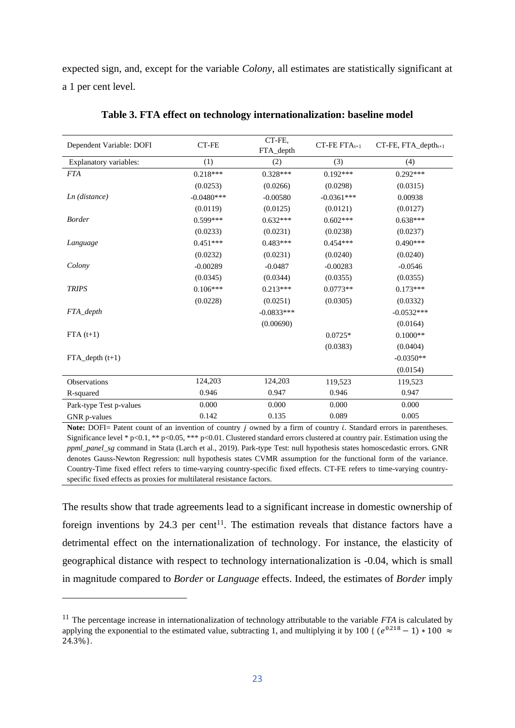expected sign, and, except for the variable *Colony,* all estimates are statistically significant at a 1 per cent level.

| Dependent Variable: DOFI | CT-FE        | CT-FE,<br>FTA_depth | $CT$ -FE FT $A_{t+1}$ | CT-FE, FTA_depth <sub>t+1</sub> |
|--------------------------|--------------|---------------------|-----------------------|---------------------------------|
| Explanatory variables:   | (1)          | (2)                 | (3)                   | (4)                             |
| <b>FTA</b>               | $0.218***$   | $0.328***$          | $0.192***$            | $0.292***$                      |
|                          | (0.0253)     | (0.0266)            | (0.0298)              | (0.0315)                        |
| $Ln$ (distance)          | $-0.0480***$ | $-0.00580$          | $-0.0361***$          | 0.00938                         |
|                          | (0.0119)     | (0.0125)            | (0.0121)              | (0.0127)                        |
| <b>Border</b>            | $0.599***$   | $0.632***$          | $0.602***$            | $0.638***$                      |
|                          | (0.0233)     | (0.0231)            | (0.0238)              | (0.0237)                        |
| Language                 | $0.451***$   | $0.483***$          | $0.454***$            | $0.490***$                      |
|                          | (0.0232)     | (0.0231)            | (0.0240)              | (0.0240)                        |
| Colony                   | $-0.00289$   | $-0.0487$           | $-0.00283$            | $-0.0546$                       |
|                          | (0.0345)     | (0.0344)            | (0.0355)              | (0.0355)                        |
| <b>TRIPS</b>             | $0.106***$   | $0.213***$          | $0.0773**$            | $0.173***$                      |
|                          | (0.0228)     | (0.0251)            | (0.0305)              | (0.0332)                        |
| FTA_depth                |              | $-0.0833***$        |                       | $-0.0532***$                    |
|                          |              | (0.00690)           |                       | (0.0164)                        |
| $FTA(t+1)$               |              |                     | $0.0725*$             | $0.1000**$                      |
|                          |              |                     | (0.0383)              | (0.0404)                        |
| $FTA\_depth(t+1)$        |              |                     |                       | $-0.0350**$                     |
|                          |              |                     |                       | (0.0154)                        |
| Observations             | 124,203      | 124,203             | 119,523               | 119,523                         |
| R-squared                | 0.946        | 0.947               | 0.946                 | 0.947                           |
| Park-type Test p-values  | 0.000        | 0.000               | 0.000                 | 0.000                           |
| GNR p-values             | 0.142        | 0.135               | 0.089                 | 0.005                           |

**Table 3. FTA effect on technology internationalization: baseline model**

Note: DOFI= Patent count of an invention of country *j* owned by a firm of country *i*. Standard errors in parentheses. Significance level \* p<0.1, \*\* p<0.05, \*\*\* p<0.01. Clustered standard errors clustered at country pair. Estimation using the *ppml\_panel\_sg* command in Stata (Larch et al., 2019). Park-type Test: null hypothesis states homoscedastic errors. GNR denotes Gauss-Newton Regression: null hypothesis states CVMR assumption for the functional form of the variance. Country-Time fixed effect refers to time-varying country-specific fixed effects. CT-FE refers to time-varying countryspecific fixed effects as proxies for multilateral resistance factors.

The results show that trade agreements lead to a significant increase in domestic ownership of foreign inventions by 24.3 per cent<sup>11</sup>. The estimation reveals that distance factors have a detrimental effect on the internationalization of technology. For instance, the elasticity of geographical distance with respect to technology internationalization is -0.04, which is small in magnitude compared to *Border* or *Language* effects. Indeed, the estimates of *Border* imply

<sup>11</sup> The percentage increase in internationalization of technology attributable to the variable *FTA* is calculated by applying the exponential to the estimated value, subtracting 1, and multiplying it by 100 {  $(e^{0.218} - 1) * 100 \approx$ 24.3%}.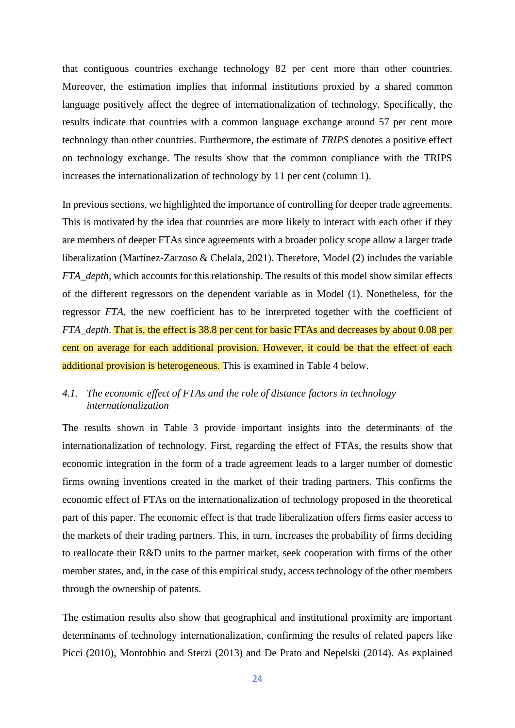that contiguous countries exchange technology 82 per cent more than other countries. Moreover, the estimation implies that informal institutions proxied by a shared common language positively affect the degree of internationalization of technology. Specifically, the results indicate that countries with a common language exchange around 57 per cent more technology than other countries. Furthermore, the estimate of *TRIPS* denotes a positive effect on technology exchange. The results show that the common compliance with the TRIPS increases the internationalization of technology by 11 per cent (column 1).

In previous sections, we highlighted the importance of controlling for deeper trade agreements. This is motivated by the idea that countries are more likely to interact with each other if they are members of deeper FTAs since agreements with a broader policy scope allow a larger trade liberalization (Martínez-Zarzoso & Chelala, 2021). Therefore, Model (2) includes the variable *FTA\_depth,* which accounts for this relationship. The results of this model show similar effects of the different regressors on the dependent variable as in Model (1). Nonetheless, for the regressor *FTA*, the new coefficient has to be interpreted together with the coefficient of *FTA\_depth*. That is, the effect is 38.8 per cent for basic FTAs and decreases by about 0.08 per cent on average for each additional provision. However, it could be that the effect of each additional provision is heterogeneous. This is examined in Table 4 below.

# *4.1. The economic effect of FTAs and the role of distance factors in technology internationalization*

The results shown in Table 3 provide important insights into the determinants of the internationalization of technology. First, regarding the effect of FTAs, the results show that economic integration in the form of a trade agreement leads to a larger number of domestic firms owning inventions created in the market of their trading partners. This confirms the economic effect of FTAs on the internationalization of technology proposed in the theoretical part of this paper. The economic effect is that trade liberalization offers firms easier access to the markets of their trading partners. This, in turn, increases the probability of firms deciding to reallocate their R&D units to the partner market, seek cooperation with firms of the other member states, and, in the case of this empirical study, access technology of the other members through the ownership of patents.

The estimation results also show that geographical and institutional proximity are important determinants of technology internationalization, confirming the results of related papers like Picci (2010), Montobbio and Sterzi (2013) and De Prato and Nepelski (2014). As explained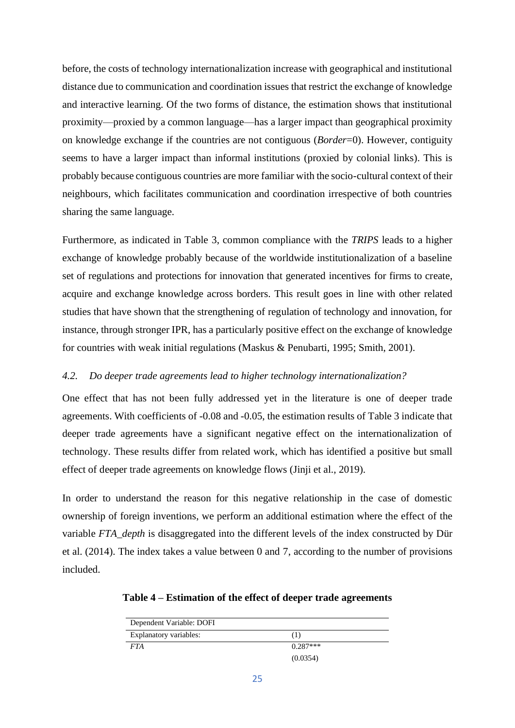before, the costs of technology internationalization increase with geographical and institutional distance due to communication and coordination issues that restrict the exchange of knowledge and interactive learning. Of the two forms of distance, the estimation shows that institutional proximity—proxied by a common language—has a larger impact than geographical proximity on knowledge exchange if the countries are not contiguous (*Border*=0). However, contiguity seems to have a larger impact than informal institutions (proxied by colonial links). This is probably because contiguous countries are more familiar with the socio-cultural context of their neighbours, which facilitates communication and coordination irrespective of both countries sharing the same language.

Furthermore, as indicated in Table 3, common compliance with the *TRIPS* leads to a higher exchange of knowledge probably because of the worldwide institutionalization of a baseline set of regulations and protections for innovation that generated incentives for firms to create, acquire and exchange knowledge across borders. This result goes in line with other related studies that have shown that the strengthening of regulation of technology and innovation, for instance, through stronger IPR, has a particularly positive effect on the exchange of knowledge for countries with weak initial regulations (Maskus & Penubarti, 1995; Smith, 2001).

### *4.2. Do deeper trade agreements lead to higher technology internationalization?*

One effect that has not been fully addressed yet in the literature is one of deeper trade agreements. With coefficients of -0.08 and -0.05, the estimation results of Table 3 indicate that deeper trade agreements have a significant negative effect on the internationalization of technology. These results differ from related work, which has identified a positive but small effect of deeper trade agreements on knowledge flows (Jinji et al., 2019).

In order to understand the reason for this negative relationship in the case of domestic ownership of foreign inventions, we perform an additional estimation where the effect of the variable *FTA\_depth* is disaggregated into the different levels of the index constructed by Dür et al. (2014). The index takes a value between 0 and 7, according to the number of provisions included.

**Table 4 – Estimation of the effect of deeper trade agreements** 

| Dependent Variable: DOFI |            |
|--------------------------|------------|
| Explanatory variables:   | (1)        |
| <b>FTA</b>               | $0.287***$ |
|                          | (0.0354)   |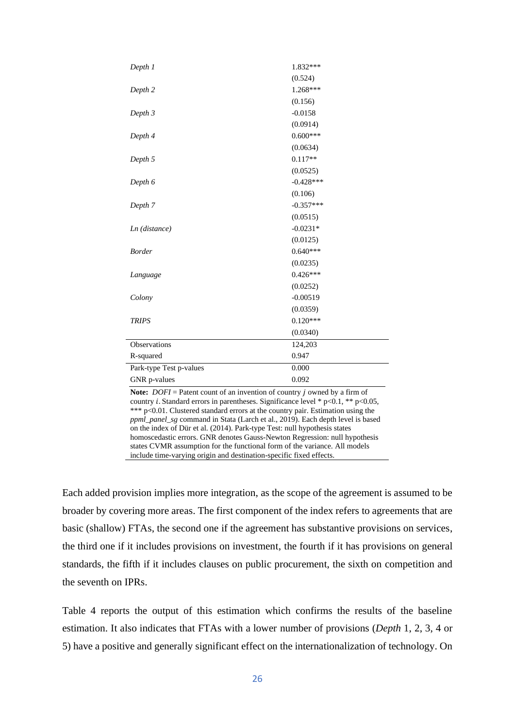| (0.524)<br>1.268***<br>Depth 2<br>(0.156)<br>$-0.0158$<br>Depth 3<br>(0.0914)<br>$0.600***$<br>Depth 4<br>(0.0634)<br>Depth 5<br>$0.117**$<br>(0.0525)                                                                                                                                                                                                                                                                                                                                                                                                                                                                                                                     |  |  |  |  |
|----------------------------------------------------------------------------------------------------------------------------------------------------------------------------------------------------------------------------------------------------------------------------------------------------------------------------------------------------------------------------------------------------------------------------------------------------------------------------------------------------------------------------------------------------------------------------------------------------------------------------------------------------------------------------|--|--|--|--|
|                                                                                                                                                                                                                                                                                                                                                                                                                                                                                                                                                                                                                                                                            |  |  |  |  |
|                                                                                                                                                                                                                                                                                                                                                                                                                                                                                                                                                                                                                                                                            |  |  |  |  |
|                                                                                                                                                                                                                                                                                                                                                                                                                                                                                                                                                                                                                                                                            |  |  |  |  |
|                                                                                                                                                                                                                                                                                                                                                                                                                                                                                                                                                                                                                                                                            |  |  |  |  |
|                                                                                                                                                                                                                                                                                                                                                                                                                                                                                                                                                                                                                                                                            |  |  |  |  |
|                                                                                                                                                                                                                                                                                                                                                                                                                                                                                                                                                                                                                                                                            |  |  |  |  |
|                                                                                                                                                                                                                                                                                                                                                                                                                                                                                                                                                                                                                                                                            |  |  |  |  |
|                                                                                                                                                                                                                                                                                                                                                                                                                                                                                                                                                                                                                                                                            |  |  |  |  |
|                                                                                                                                                                                                                                                                                                                                                                                                                                                                                                                                                                                                                                                                            |  |  |  |  |
| Depth 6<br>$-0.428***$                                                                                                                                                                                                                                                                                                                                                                                                                                                                                                                                                                                                                                                     |  |  |  |  |
| (0.106)                                                                                                                                                                                                                                                                                                                                                                                                                                                                                                                                                                                                                                                                    |  |  |  |  |
| Depth 7<br>$-0.357***$                                                                                                                                                                                                                                                                                                                                                                                                                                                                                                                                                                                                                                                     |  |  |  |  |
| (0.0515)                                                                                                                                                                                                                                                                                                                                                                                                                                                                                                                                                                                                                                                                   |  |  |  |  |
| $-0.0231*$<br>Ln (distance)                                                                                                                                                                                                                                                                                                                                                                                                                                                                                                                                                                                                                                                |  |  |  |  |
| (0.0125)                                                                                                                                                                                                                                                                                                                                                                                                                                                                                                                                                                                                                                                                   |  |  |  |  |
| <b>Border</b><br>$0.640***$                                                                                                                                                                                                                                                                                                                                                                                                                                                                                                                                                                                                                                                |  |  |  |  |
| (0.0235)                                                                                                                                                                                                                                                                                                                                                                                                                                                                                                                                                                                                                                                                   |  |  |  |  |
| $0.426***$<br>Language                                                                                                                                                                                                                                                                                                                                                                                                                                                                                                                                                                                                                                                     |  |  |  |  |
| (0.0252)                                                                                                                                                                                                                                                                                                                                                                                                                                                                                                                                                                                                                                                                   |  |  |  |  |
| $-0.00519$<br>Colony                                                                                                                                                                                                                                                                                                                                                                                                                                                                                                                                                                                                                                                       |  |  |  |  |
| (0.0359)                                                                                                                                                                                                                                                                                                                                                                                                                                                                                                                                                                                                                                                                   |  |  |  |  |
| <b>TRIPS</b><br>$0.120***$                                                                                                                                                                                                                                                                                                                                                                                                                                                                                                                                                                                                                                                 |  |  |  |  |
| (0.0340)                                                                                                                                                                                                                                                                                                                                                                                                                                                                                                                                                                                                                                                                   |  |  |  |  |
| Observations<br>124,203                                                                                                                                                                                                                                                                                                                                                                                                                                                                                                                                                                                                                                                    |  |  |  |  |
| 0.947<br>R-squared                                                                                                                                                                                                                                                                                                                                                                                                                                                                                                                                                                                                                                                         |  |  |  |  |
| Park-type Test p-values<br>0.000                                                                                                                                                                                                                                                                                                                                                                                                                                                                                                                                                                                                                                           |  |  |  |  |
| 0.092<br>GNR p-values                                                                                                                                                                                                                                                                                                                                                                                                                                                                                                                                                                                                                                                      |  |  |  |  |
| <b>Note:</b> $DOFI =$ Patent count of an invention of country j owned by a firm of<br>country <i>i</i> . Standard errors in parentheses. Significance level * $p<0.1$ , ** $p<0.05$ ,<br>*** p<0.01. Clustered standard errors at the country pair. Estimation using the<br>ppml_panel_sg command in Stata (Larch et al., 2019). Each depth level is based<br>on the index of Dür et al. (2014). Park-type Test: null hypothesis states<br>homoscedastic errors. GNR denotes Gauss-Newton Regression: null hypothesis<br>states CVMR assumption for the functional form of the variance. All models<br>include time-varying origin and destination-specific fixed effects. |  |  |  |  |

Each added provision implies more integration, as the scope of the agreement is assumed to be broader by covering more areas. The first component of the index refers to agreements that are basic (shallow) FTAs, the second one if the agreement has substantive provisions on services, the third one if it includes provisions on investment, the fourth if it has provisions on general standards, the fifth if it includes clauses on public procurement, the sixth on competition and the seventh on IPRs.

Table 4 reports the output of this estimation which confirms the results of the baseline estimation. It also indicates that FTAs with a lower number of provisions (*Depth* 1, 2, 3, 4 or 5) have a positive and generally significant effect on the internationalization of technology. On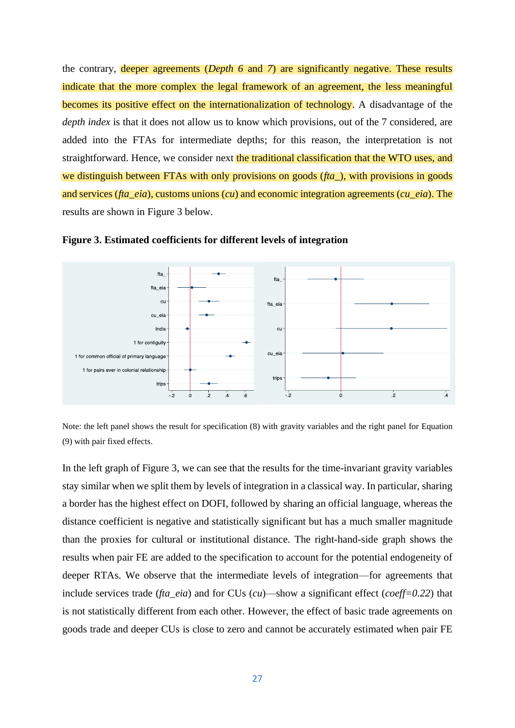the contrary, deeper agreements (*Depth 6* and *7*) are significantly negative. These results indicate that the more complex the legal framework of an agreement, the less meaningful becomes its positive effect on the internationalization of technology. A disadvantage of the *depth index* is that it does not allow us to know which provisions, out of the 7 considered, are added into the FTAs for intermediate depths; for this reason, the interpretation is not straightforward. Hence, we consider next the traditional classification that the WTO uses, and we distinguish between FTAs with only provisions on goods (*fta\_*), with provisions in goods and services (*fta\_eia*), customs unions (*cu*) and economic integration agreements (*cu\_eia*). The results are shown in Figure 3 below.



**Figure 3. Estimated coefficients for different levels of integration**

Note: the left panel shows the result for specification (8) with gravity variables and the right panel for Equation (9) with pair fixed effects.

In the left graph of Figure 3, we can see that the results for the time-invariant gravity variables stay similar when we split them by levels of integration in a classical way. In particular, sharing a border has the highest effect on DOFI, followed by sharing an official language, whereas the distance coefficient is negative and statistically significant but has a much smaller magnitude than the proxies for cultural or institutional distance. The right-hand-side graph shows the results when pair FE are added to the specification to account for the potential endogeneity of deeper RTAs. We observe that the intermediate levels of integration—for agreements that include services trade (*fta\_eia*) and for CUs (*cu*)—show a significant effect (*coeff=0.22*) that is not statistically different from each other. However, the effect of basic trade agreements on goods trade and deeper CUs is close to zero and cannot be accurately estimated when pair FE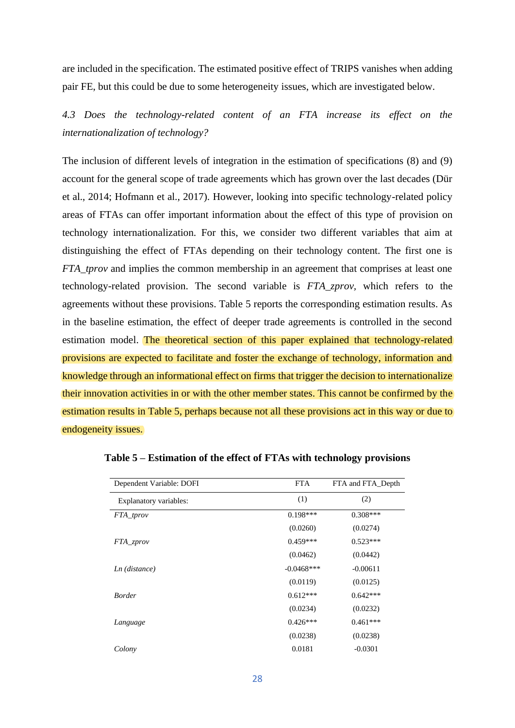are included in the specification. The estimated positive effect of TRIPS vanishes when adding pair FE, but this could be due to some heterogeneity issues, which are investigated below.

*4.3 Does the technology-related content of an FTA increase its effect on the internationalization of technology?*

The inclusion of different levels of integration in the estimation of specifications (8) and (9) account for the general scope of trade agreements which has grown over the last decades (Dür et al., 2014; Hofmann et al., 2017). However, looking into specific technology-related policy areas of FTAs can offer important information about the effect of this type of provision on technology internationalization. For this, we consider two different variables that aim at distinguishing the effect of FTAs depending on their technology content. The first one is *FTA\_tprov* and implies the common membership in an agreement that comprises at least one technology-related provision. The second variable is *FTA\_zprov,* which refers to the agreements without these provisions. Table 5 reports the corresponding estimation results. As in the baseline estimation, the effect of deeper trade agreements is controlled in the second estimation model. The theoretical section of this paper explained that technology-related provisions are expected to facilitate and foster the exchange of technology, information and knowledge through an informational effect on firms that trigger the decision to internationalize their innovation activities in or with the other member states. This cannot be confirmed by the estimation results in Table 5, perhaps because not all these provisions act in this way or due to endogeneity issues.

| Dependent Variable: DOFI | <b>FTA</b>   | FTA and FTA Depth |
|--------------------------|--------------|-------------------|
| Explanatory variables:   | (1)          | (2)               |
| FTA_tprov                | $0.198***$   | $0.308***$        |
|                          | (0.0260)     | (0.0274)          |
| FTA_zprov                | $0.459***$   | $0.523***$        |
|                          | (0.0462)     | (0.0442)          |
| Ln (distance)            | $-0.0468***$ | $-0.00611$        |
|                          | (0.0119)     | (0.0125)          |
| <b>Border</b>            | $0.612***$   | $0.642***$        |
|                          | (0.0234)     | (0.0232)          |
| Language                 | $0.426***$   | $0.461***$        |
|                          | (0.0238)     | (0.0238)          |
| Colony                   | 0.0181       | $-0.0301$         |

**Table 5 – Estimation of the effect of FTAs with technology provisions**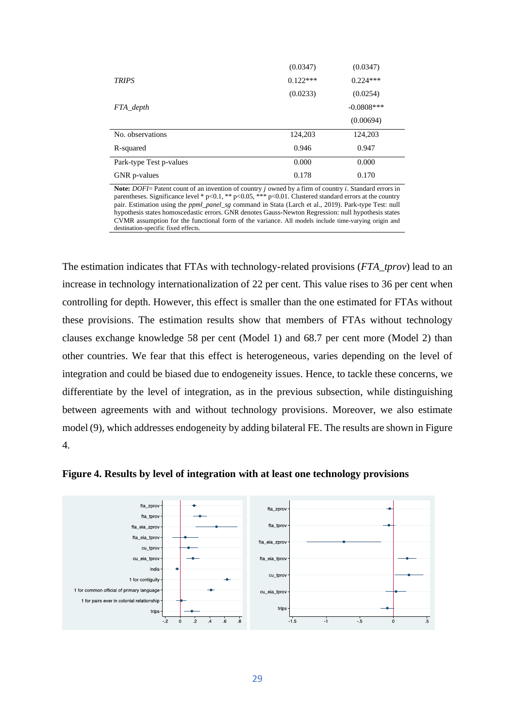|                         | (0.0347)   | (0.0347)      |
|-------------------------|------------|---------------|
| <b>TRIPS</b>            | $0.122***$ | $0.224***$    |
|                         | (0.0233)   | (0.0254)      |
| FTA_depth               |            | $-0.0808$ *** |
|                         |            | (0.00694)     |
| No. observations        | 124,203    | 124,203       |
| R-squared               | 0.946      | 0.947         |
| Park-type Test p-values | 0.000      | 0.000         |
| GNR p-values            | 0.178      | 0.170         |

**Note:** *DOFI*= Patent count of an invention of country *j* owned by a firm of country *i*. Standard errors in parentheses. Significance level \*  $p<0.1$ , \*\*  $p<0.05$ , \*\*\*  $p<0.01$ . Clustered standard errors at the country pair. Estimation using the *ppml\_panel\_sg* command in Stata (Larch et al., 2019). Park-type Test: null hypothesis states homoscedastic errors. GNR denotes Gauss-Newton Regression: null hypothesis states CVMR assumption for the functional form of the variance. All models include time-varying origin and destination-specific fixed effects.

The estimation indicates that FTAs with technology-related provisions (*FTA\_tprov*) lead to an increase in technology internationalization of 22 per cent. This value rises to 36 per cent when controlling for depth. However, this effect is smaller than the one estimated for FTAs without these provisions. The estimation results show that members of FTAs without technology clauses exchange knowledge 58 per cent (Model 1) and 68.7 per cent more (Model 2) than other countries. We fear that this effect is heterogeneous, varies depending on the level of integration and could be biased due to endogeneity issues. Hence, to tackle these concerns, we differentiate by the level of integration, as in the previous subsection, while distinguishing between agreements with and without technology provisions. Moreover, we also estimate model (9), which addresses endogeneity by adding bilateral FE. The results are shown in Figure 4.



**Figure 4. Results by level of integration with at least one technology provisions**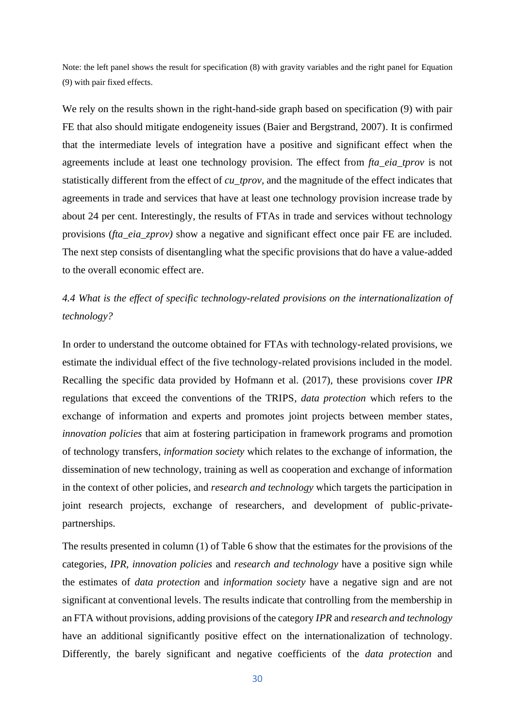Note: the left panel shows the result for specification (8) with gravity variables and the right panel for Equation (9) with pair fixed effects.

We rely on the results shown in the right-hand-side graph based on specification (9) with pair FE that also should mitigate endogeneity issues (Baier and Bergstrand, 2007). It is confirmed that the intermediate levels of integration have a positive and significant effect when the agreements include at least one technology provision. The effect from *fta\_eia\_tprov* is not statistically different from the effect of *cu\_tprov,* and the magnitude of the effect indicates that agreements in trade and services that have at least one technology provision increase trade by about 24 per cent. Interestingly, the results of FTAs in trade and services without technology provisions (*fta\_eia\_zprov)* show a negative and significant effect once pair FE are included. The next step consists of disentangling what the specific provisions that do have a value-added to the overall economic effect are.

# *4.4 What is the effect of specific technology-related provisions on the internationalization of technology?*

In order to understand the outcome obtained for FTAs with technology-related provisions, we estimate the individual effect of the five technology-related provisions included in the model. Recalling the specific data provided by Hofmann et al. (2017), these provisions cover *IPR* regulations that exceed the conventions of the TRIPS, *data protection* which refers to the exchange of information and experts and promotes joint projects between member states, *innovation policies* that aim at fostering participation in framework programs and promotion of technology transfers, *information society* which relates to the exchange of information, the dissemination of new technology, training as well as cooperation and exchange of information in the context of other policies, and *research and technology* which targets the participation in joint research projects, exchange of researchers, and development of public-privatepartnerships.

The results presented in column (1) of Table 6 show that the estimates for the provisions of the categories, *IPR, innovation policies* and *research and technology* have a positive sign while the estimates of *data protection* and *information society* have a negative sign and are not significant at conventional levels. The results indicate that controlling from the membership in an FTA without provisions, adding provisions of the category *IPR* and *research and technology* have an additional significantly positive effect on the internationalization of technology. Differently, the barely significant and negative coefficients of the *data protection* and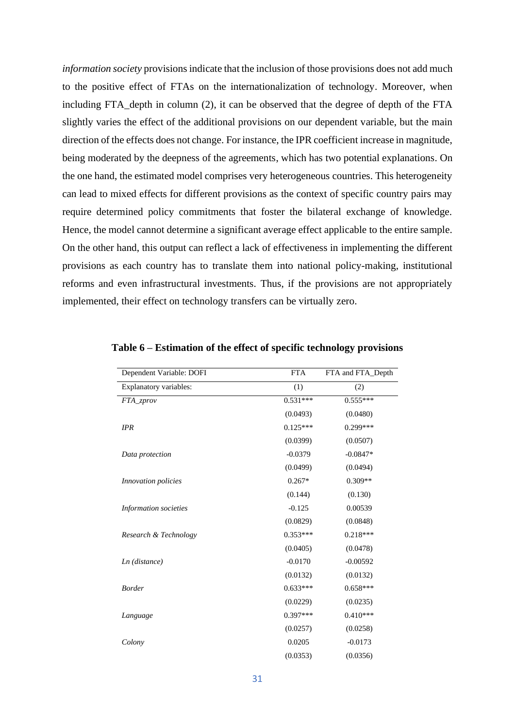*information society* provisions indicate that the inclusion of those provisions does not add much to the positive effect of FTAs on the internationalization of technology. Moreover, when including FTA\_depth in column (2), it can be observed that the degree of depth of the FTA slightly varies the effect of the additional provisions on our dependent variable, but the main direction of the effects does not change. For instance, the IPR coefficient increase in magnitude, being moderated by the deepness of the agreements, which has two potential explanations. On the one hand, the estimated model comprises very heterogeneous countries. This heterogeneity can lead to mixed effects for different provisions as the context of specific country pairs may require determined policy commitments that foster the bilateral exchange of knowledge. Hence, the model cannot determine a significant average effect applicable to the entire sample. On the other hand, this output can reflect a lack of effectiveness in implementing the different provisions as each country has to translate them into national policy-making, institutional reforms and even infrastructural investments. Thus, if the provisions are not appropriately implemented, their effect on technology transfers can be virtually zero.

| Dependent Variable: DOFI   | <b>FTA</b> | FTA and FTA Depth |
|----------------------------|------------|-------------------|
| Explanatory variables:     | (1)        | (2)               |
| FTA_zprov                  | $0.531***$ | $0.555***$        |
|                            | (0.0493)   | (0.0480)          |
| <b>IPR</b>                 | $0.125***$ | $0.299***$        |
|                            | (0.0399)   | (0.0507)          |
| Data protection            | $-0.0379$  | $-0.0847*$        |
|                            | (0.0499)   | (0.0494)          |
| <i>Innovation policies</i> | $0.267*$   | $0.309**$         |
|                            | (0.144)    | (0.130)           |
| Information societies      | $-0.125$   | 0.00539           |
|                            | (0.0829)   | (0.0848)          |
| Research & Technology      | $0.353***$ | $0.218***$        |
|                            | (0.0405)   | (0.0478)          |
| $Ln$ (distance)            | $-0.0170$  | $-0.00592$        |
|                            | (0.0132)   | (0.0132)          |
| <b>Border</b>              | $0.633***$ | $0.658***$        |
|                            | (0.0229)   | (0.0235)          |
| Language                   | $0.397***$ | $0.410***$        |
|                            | (0.0257)   | (0.0258)          |
| Colony                     | 0.0205     | $-0.0173$         |
|                            | (0.0353)   | (0.0356)          |

**Table 6 – Estimation of the effect of specific technology provisions**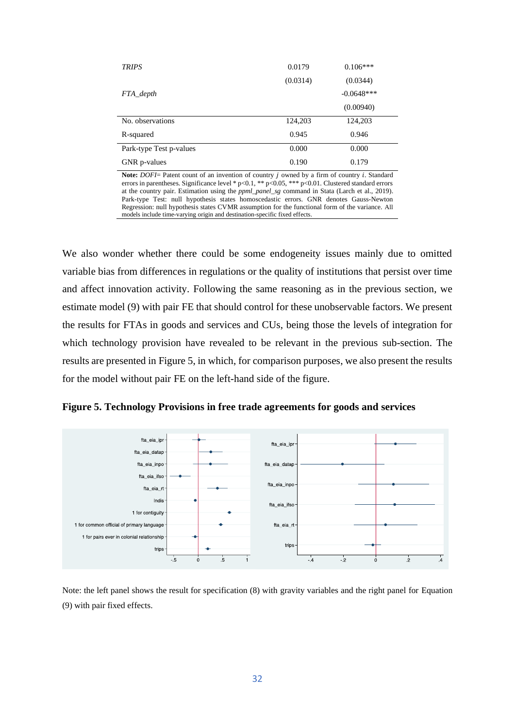| <b>TRIPS</b>            | 0.0179   | $0.106***$   |
|-------------------------|----------|--------------|
|                         | (0.0314) | (0.0344)     |
| FTA depth               |          | $-0.0648***$ |
|                         |          | (0.00940)    |
| No. observations        | 124,203  | 124,203      |
| R-squared               | 0.945    | 0.946        |
| Park-type Test p-values | 0.000    | 0.000        |
| GNR p-values            | 0.190    | 0.179        |

Note: *DOFI*= Patent count of an invention of country *j* owned by a firm of country *i*. Standard errors in parentheses. Significance level \* p<0.1, \*\* p<0.05, \*\*\* p<0.01. Clustered standard errors at the country pair. Estimation using the *ppml\_panel\_sg* command in Stata (Larch et al., 2019). Park-type Test: null hypothesis states homoscedastic errors. GNR denotes Gauss-Newton Regression: null hypothesis states CVMR assumption for the functional form of the variance. All models include time-varying origin and destination-specific fixed effects.

We also wonder whether there could be some endogeneity issues mainly due to omitted variable bias from differences in regulations or the quality of institutions that persist over time and affect innovation activity. Following the same reasoning as in the previous section, we estimate model (9) with pair FE that should control for these unobservable factors. We present the results for FTAs in goods and services and CUs, being those the levels of integration for which technology provision have revealed to be relevant in the previous sub-section. The results are presented in Figure 5, in which, for comparison purposes, we also present the results for the model without pair FE on the left-hand side of the figure.

**Figure 5. Technology Provisions in free trade agreements for goods and services**



Note: the left panel shows the result for specification (8) with gravity variables and the right panel for Equation (9) with pair fixed effects.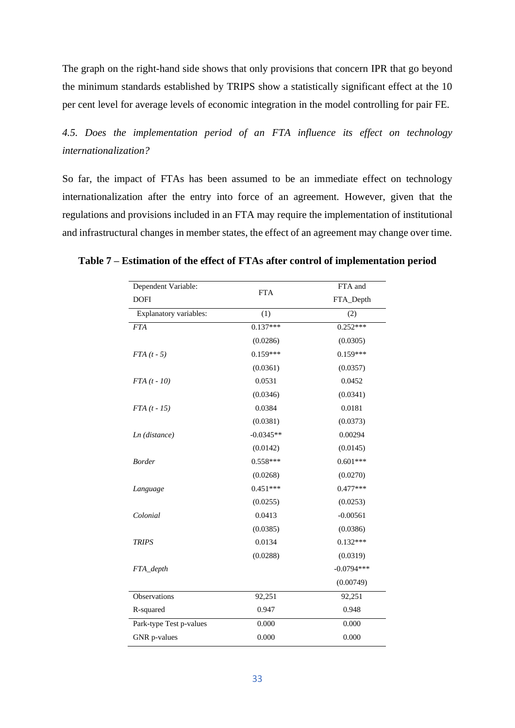The graph on the right-hand side shows that only provisions that concern IPR that go beyond the minimum standards established by TRIPS show a statistically significant effect at the 10 per cent level for average levels of economic integration in the model controlling for pair FE.

*4.5. Does the implementation period of an FTA influence its effect on technology internationalization?* 

So far, the impact of FTAs has been assumed to be an immediate effect on technology internationalization after the entry into force of an agreement. However, given that the regulations and provisions included in an FTA may require the implementation of institutional and infrastructural changes in member states, the effect of an agreement may change over time.

| Dependent Variable:     | <b>FTA</b>  | FTA and      |  |
|-------------------------|-------------|--------------|--|
| <b>DOFI</b>             |             | FTA_Depth    |  |
| Explanatory variables:  | (1)         | (2)          |  |
| <b>FTA</b>              | $0.137***$  | $0.252***$   |  |
|                         | (0.0286)    | (0.0305)     |  |
| $FTA(t-5)$              | $0.159***$  | $0.159***$   |  |
|                         | (0.0361)    | (0.0357)     |  |
| $FTA(t - 10)$           | 0.0531      | 0.0452       |  |
|                         | (0.0346)    | (0.0341)     |  |
| $FTA (t - 15)$          | 0.0384      | 0.0181       |  |
|                         | (0.0381)    | (0.0373)     |  |
| Ln (distance)           | $-0.0345**$ | 0.00294      |  |
|                         | (0.0142)    | (0.0145)     |  |
| <b>Border</b>           | $0.558***$  | $0.601***$   |  |
|                         | (0.0268)    | (0.0270)     |  |
| Language                | $0.451***$  | $0.477***$   |  |
|                         | (0.0255)    | (0.0253)     |  |
| Colonial                | 0.0413      | $-0.00561$   |  |
|                         | (0.0385)    | (0.0386)     |  |
| <b>TRIPS</b>            | 0.0134      | $0.132***$   |  |
|                         | (0.0288)    | (0.0319)     |  |
| FTA_depth               |             | $-0.0794***$ |  |
|                         |             | (0.00749)    |  |
| Observations            | 92,251      | 92,251       |  |
| R-squared               | 0.947       | 0.948        |  |
| Park-type Test p-values | 0.000       | 0.000        |  |
| GNR p-values            | 0.000       | 0.000        |  |

### **Table 7 – Estimation of the effect of FTAs after control of implementation period**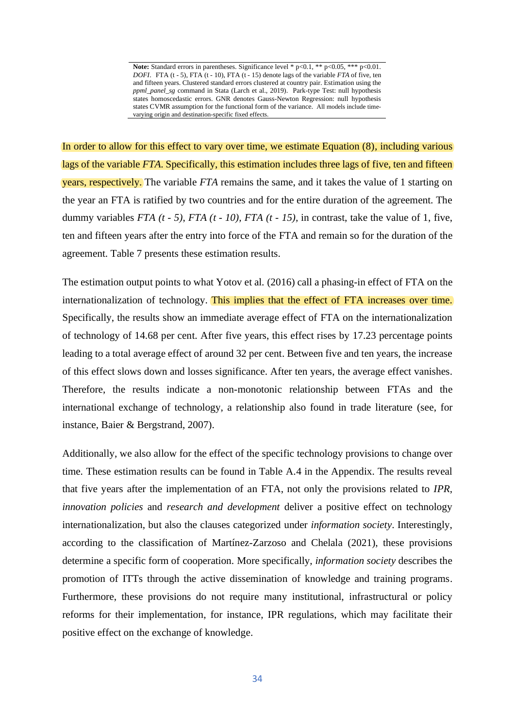Note: Standard errors in parentheses. Significance level \* p<0.1, \*\* p<0.05, \*\*\* p<0.01. *DOFI*. FTA (t - 5), FTA (t - 10), FTA (t - 15) denote lags of the variable *FTA* of five, ten and fifteen years. Clustered standard errors clustered at country pair. Estimation using the *ppml\_panel\_sg* command in Stata (Larch et al., 2019). Park-type Test: null hypothesis states homoscedastic errors. GNR denotes Gauss-Newton Regression: null hypothesis states CVMR assumption for the functional form of the variance. All models include timevarying origin and destination-specific fixed effects.

In order to allow for this effect to vary over time, we estimate Equation (8), including various lags of the variable *FTA*. Specifically, this estimation includes three lags of five, ten and fifteen years, respectively. The variable *FTA* remains the same, and it takes the value of 1 starting on the year an FTA is ratified by two countries and for the entire duration of the agreement. The dummy variables *FTA (t - 5)*, *FTA (t - 10), FTA (t - 15),* in contrast, take the value of 1, five, ten and fifteen years after the entry into force of the FTA and remain so for the duration of the agreement. Table 7 presents these estimation results.

The estimation output points to what Yotov et al. (2016) call a phasing-in effect of FTA on the internationalization of technology. This implies that the effect of FTA increases over time. Specifically, the results show an immediate average effect of FTA on the internationalization of technology of 14.68 per cent. After five years, this effect rises by 17.23 percentage points leading to a total average effect of around 32 per cent. Between five and ten years, the increase of this effect slows down and losses significance. After ten years, the average effect vanishes. Therefore, the results indicate a non-monotonic relationship between FTAs and the international exchange of technology, a relationship also found in trade literature (see, for instance, Baier & Bergstrand, 2007).

Additionally, we also allow for the effect of the specific technology provisions to change over time. These estimation results can be found in Table A.4 in the Appendix. The results reveal that five years after the implementation of an FTA, not only the provisions related to *IPR*, *innovation policies* and *research and development* deliver a positive effect on technology internationalization, but also the clauses categorized under *information society*. Interestingly, according to the classification of Martínez-Zarzoso and Chelala (2021), these provisions determine a specific form of cooperation. More specifically, *information society* describes the promotion of ITTs through the active dissemination of knowledge and training programs. Furthermore, these provisions do not require many institutional, infrastructural or policy reforms for their implementation, for instance, IPR regulations, which may facilitate their positive effect on the exchange of knowledge.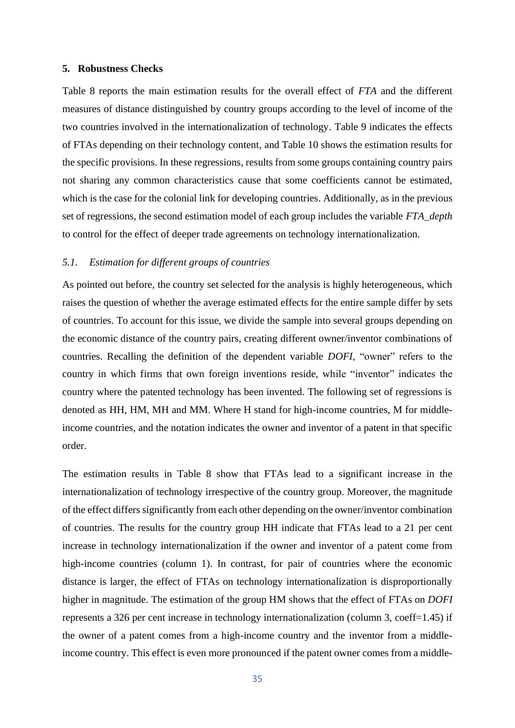### **5. Robustness Checks**

Table 8 reports the main estimation results for the overall effect of *FTA* and the different measures of distance distinguished by country groups according to the level of income of the two countries involved in the internationalization of technology. Table 9 indicates the effects of FTAs depending on their technology content, and Table 10 shows the estimation results for the specific provisions. In these regressions, results from some groups containing country pairs not sharing any common characteristics cause that some coefficients cannot be estimated, which is the case for the colonial link for developing countries. Additionally, as in the previous set of regressions, the second estimation model of each group includes the variable *FTA\_depth*  to control for the effect of deeper trade agreements on technology internationalization.

# *5.1. Estimation for different groups of countries*

As pointed out before, the country set selected for the analysis is highly heterogeneous, which raises the question of whether the average estimated effects for the entire sample differ by sets of countries. To account for this issue, we divide the sample into several groups depending on the economic distance of the country pairs, creating different owner/inventor combinations of countries. Recalling the definition of the dependent variable *DOFI,* "owner" refers to the country in which firms that own foreign inventions reside, while "inventor" indicates the country where the patented technology has been invented. The following set of regressions is denoted as HH, HM, MH and MM. Where H stand for high-income countries, M for middleincome countries, and the notation indicates the owner and inventor of a patent in that specific order.

The estimation results in Table 8 show that FTAs lead to a significant increase in the internationalization of technology irrespective of the country group. Moreover, the magnitude of the effect differs significantly from each other depending on the owner/inventor combination of countries. The results for the country group HH indicate that FTAs lead to a 21 per cent increase in technology internationalization if the owner and inventor of a patent come from high-income countries (column 1). In contrast, for pair of countries where the economic distance is larger, the effect of FTAs on technology internationalization is disproportionally higher in magnitude. The estimation of the group HM shows that the effect of FTAs on *DOFI*  represents a 326 per cent increase in technology internationalization (column 3, coeff=1.45) if the owner of a patent comes from a high-income country and the inventor from a middleincome country. This effect is even more pronounced if the patent owner comes from a middle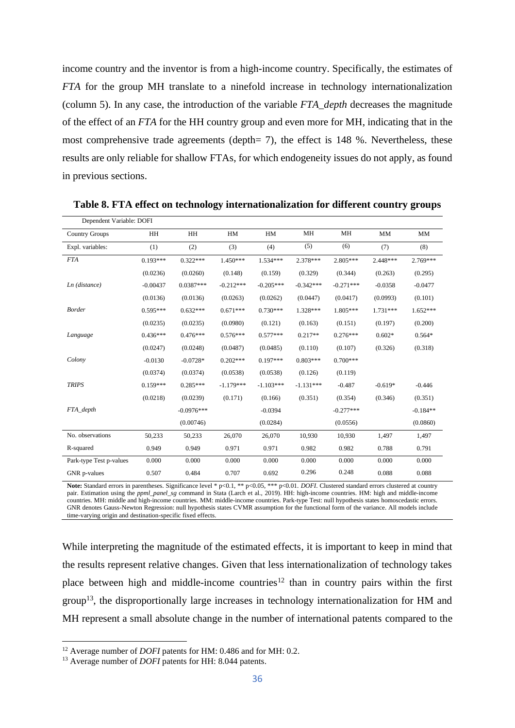income country and the inventor is from a high-income country. Specifically, the estimates of *FTA* for the group MH translate to a ninefold increase in technology internationalization (column 5). In any case, the introduction of the variable *FTA\_depth* decreases the magnitude of the effect of an *FTA* for the HH country group and even more for MH, indicating that in the most comprehensive trade agreements (depth= 7), the effect is 148 %. Nevertheless, these results are only reliable for shallow FTAs, for which endogeneity issues do not apply, as found in previous sections.

| Dependent Variable: DOFI |            |              |             |             |             |             |            |            |
|--------------------------|------------|--------------|-------------|-------------|-------------|-------------|------------|------------|
| <b>Country Groups</b>    | HH         | <b>HH</b>    | HM          | HM          | MH          | MH          | <b>MM</b>  | <b>MM</b>  |
| Expl. variables:         | (1)        | (2)          | (3)         | (4)         | (5)         | (6)         | (7)        | (8)        |
| <b>FTA</b>               | $0.193***$ | $0.322***$   | $1.450***$  | $1.534***$  | 2.378***    | $2.805***$  | $2.448***$ | 2.769***   |
|                          | (0.0236)   | (0.0260)     | (0.148)     | (0.159)     | (0.329)     | (0.344)     | (0.263)    | (0.295)    |
| $Ln$ (distance)          | $-0.00437$ | $0.0387***$  | $-0.212***$ | $-0.205***$ | $-0.342***$ | $-0.271***$ | $-0.0358$  | $-0.0477$  |
|                          | (0.0136)   | (0.0136)     | (0.0263)    | (0.0262)    | (0.0447)    | (0.0417)    | (0.0993)   | (0.101)    |
| <b>Border</b>            | $0.595***$ | $0.632***$   | $0.671***$  | $0.730***$  | 1.328***    | 1.805***    | $1.731***$ | $1.652***$ |
|                          | (0.0235)   | (0.0235)     | (0.0980)    | (0.121)     | (0.163)     | (0.151)     | (0.197)    | (0.200)    |
| Language                 | $0.436***$ | $0.476***$   | $0.576***$  | $0.577***$  | $0.217**$   | $0.276***$  | $0.602*$   | $0.564*$   |
|                          | (0.0247)   | (0.0248)     | (0.0487)    | (0.0485)    | (0.110)     | (0.107)     | (0.326)    | (0.318)    |
| Colony                   | $-0.0130$  | $-0.0728*$   | $0.202***$  | $0.197***$  | $0.803***$  | $0.700***$  |            |            |
|                          | (0.0374)   | (0.0374)     | (0.0538)    | (0.0538)    | (0.126)     | (0.119)     |            |            |
| <b>TRIPS</b>             | $0.159***$ | $0.285***$   | $-1.179***$ | $-1.103***$ | $-1.131***$ | $-0.487$    | $-0.619*$  | $-0.446$   |
|                          | (0.0218)   | (0.0239)     | (0.171)     | (0.166)     | (0.351)     | (0.354)     | (0.346)    | (0.351)    |
| FTA depth                |            | $-0.0976***$ |             | $-0.0394$   |             | $-0.277***$ |            | $-0.184**$ |
|                          |            | (0.00746)    |             | (0.0284)    |             | (0.0556)    |            | (0.0860)   |
| No. observations         | 50,233     | 50,233       | 26,070      | 26,070      | 10,930      | 10,930      | 1,497      | 1,497      |
| R-squared                | 0.949      | 0.949        | 0.971       | 0.971       | 0.982       | 0.982       | 0.788      | 0.791      |
| Park-type Test p-values  | 0.000      | 0.000        | 0.000       | 0.000       | 0.000       | 0.000       | 0.000      | 0.000      |
| GNR p-values             | 0.507      | 0.484        | 0.707       | 0.692       | 0.296       | 0.248       | 0.088      | 0.088      |

**Table 8. FTA effect on technology internationalization for different country groups** 

Note: Standard errors in parentheses. Significance level \* p<0.1, \*\* p<0.05, \*\*\* p<0.01. *DOFI*. Clustered standard errors clustered at country pair. Estimation using the *ppml\_panel\_sg* command in Stata (Larch et al., 2019). HH: high-income countries. HM: high and middle-income countries. MH: middle and high-income countries. MM: middle-income countries. Park-type Test: null hypothesis states homoscedastic errors. GNR denotes Gauss-Newton Regression: null hypothesis states CVMR assumption for the functional form of the variance. All models include time-varying origin and destination-specific fixed effects.

While interpreting the magnitude of the estimated effects, it is important to keep in mind that the results represent relative changes. Given that less internationalization of technology takes place between high and middle-income countries<sup>12</sup> than in country pairs within the first group<sup>13</sup>, the disproportionally large increases in technology internationalization for HM and MH represent a small absolute change in the number of international patents compared to the

<sup>12</sup> Average number of *DOFI* patents for HM: 0.486 and for MH: 0.2.

<sup>&</sup>lt;sup>13</sup> Average number of *DOFI* patents for HH: 8.044 patents.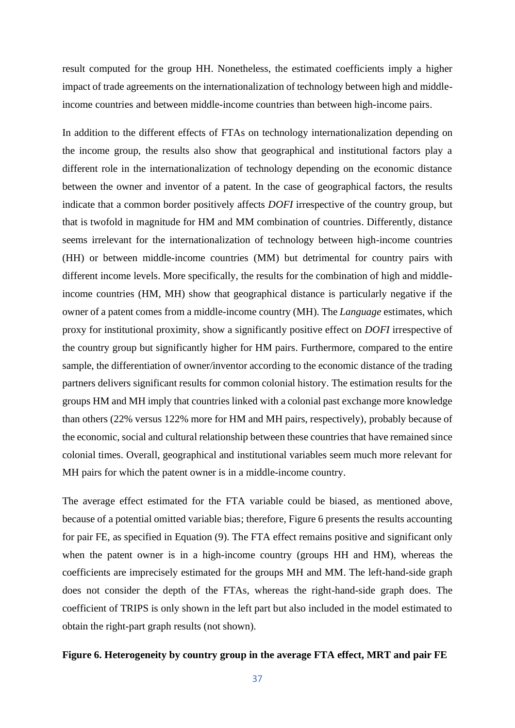result computed for the group HH. Nonetheless, the estimated coefficients imply a higher impact of trade agreements on the internationalization of technology between high and middleincome countries and between middle-income countries than between high-income pairs.

In addition to the different effects of FTAs on technology internationalization depending on the income group, the results also show that geographical and institutional factors play a different role in the internationalization of technology depending on the economic distance between the owner and inventor of a patent. In the case of geographical factors, the results indicate that a common border positively affects *DOFI* irrespective of the country group, but that is twofold in magnitude for HM and MM combination of countries. Differently, distance seems irrelevant for the internationalization of technology between high-income countries (HH) or between middle-income countries (MM) but detrimental for country pairs with different income levels. More specifically, the results for the combination of high and middleincome countries (HM, MH) show that geographical distance is particularly negative if the owner of a patent comes from a middle-income country (MH). The *Language* estimates, which proxy for institutional proximity, show a significantly positive effect on *DOFI* irrespective of the country group but significantly higher for HM pairs. Furthermore, compared to the entire sample, the differentiation of owner/inventor according to the economic distance of the trading partners delivers significant results for common colonial history. The estimation results for the groups HM and MH imply that countries linked with a colonial past exchange more knowledge than others (22% versus 122% more for HM and MH pairs, respectively), probably because of the economic, social and cultural relationship between these countries that have remained since colonial times. Overall, geographical and institutional variables seem much more relevant for MH pairs for which the patent owner is in a middle-income country.

The average effect estimated for the FTA variable could be biased, as mentioned above, because of a potential omitted variable bias; therefore, Figure 6 presents the results accounting for pair FE, as specified in Equation (9). The FTA effect remains positive and significant only when the patent owner is in a high-income country (groups HH and HM), whereas the coefficients are imprecisely estimated for the groups MH and MM. The left-hand-side graph does not consider the depth of the FTAs, whereas the right-hand-side graph does. The coefficient of TRIPS is only shown in the left part but also included in the model estimated to obtain the right-part graph results (not shown).

### **Figure 6. Heterogeneity by country group in the average FTA effect, MRT and pair FE**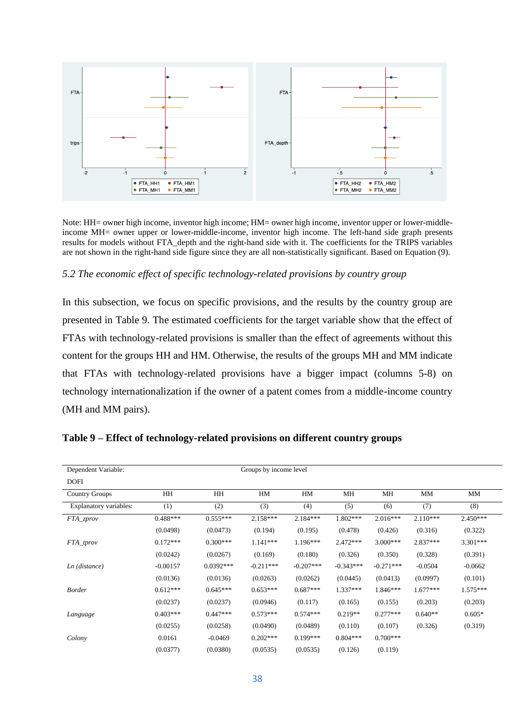

Note: HH= owner high income, inventor high income; HM= owner high income, inventor upper or lower-middleincome MH= owner upper or lower-middle-income, inventor high income. The left-hand side graph presents results for models without FTA\_depth and the right-hand side with it. The coefficients for the TRIPS variables are not shown in the right-hand side figure since they are all non-statistically significant. Based on Equation (9).

### *5.2 The economic effect of specific technology-related provisions by country group*

In this subsection, we focus on specific provisions, and the results by the country group are presented in Table 9. The estimated coefficients for the target variable show that the effect of FTAs with technology-related provisions is smaller than the effect of agreements without this content for the groups HH and HM. Otherwise, the results of the groups MH and MM indicate that FTAs with technology-related provisions have a bigger impact (columns 5-8) on technology internationalization if the owner of a patent comes from a middle-income country (MH and MM pairs).

| Dependent Variable:    |            |             | Groups by income level |             |             |             |            |            |
|------------------------|------------|-------------|------------------------|-------------|-------------|-------------|------------|------------|
| <b>DOFI</b>            |            |             |                        |             |             |             |            |            |
| <b>Country Groups</b>  | HH         | HH          | HM                     | HM          | МH          | MH          | MM         | MM         |
| Explanatory variables: | (1)        | (2)         | (3)                    | (4)         | (5)         | (6)         | (7)        | (8)        |
| FTA_zprov              | $0.488***$ | $0.555***$  | $2.158***$             | $2.184***$  | $1.802***$  | $2.016***$  | $2.110***$ | $2.450***$ |
|                        | (0.0498)   | (0.0473)    | (0.194)                | (0.195)     | (0.478)     | (0.426)     | (0.316)    | (0.322)    |
| FTA_tprov              | $0.172***$ | $0.300***$  | $1.141***$             | $1.196***$  | $2.472***$  | $3.000***$  | 2.837***   | 3.301***   |
|                        | (0.0242)   | (0.0267)    | (0.169)                | (0.180)     | (0.326)     | (0.350)     | (0.328)    | (0.391)    |
| $Ln$ (distance)        | $-0.00157$ | $0.0392***$ | $-0.211***$            | $-0.207***$ | $-0.343***$ | $-0.271***$ | $-0.0504$  | $-0.0662$  |
|                        | (0.0136)   | (0.0136)    | (0.0263)               | (0.0262)    | (0.0445)    | (0.0413)    | (0.0997)   | (0.101)    |
| <b>Border</b>          | $0.612***$ | $0.645***$  | $0.653***$             | $0.687***$  | $1.337***$  | 1.846***    | $1.677***$ | $1.575***$ |
|                        | (0.0237)   | (0.0237)    | (0.0946)               | (0.117)     | (0.165)     | (0.155)     | (0.203)    | (0.203)    |
| Language               | $0.403***$ | $0.447***$  | $0.573***$             | $0.574***$  | $0.219**$   | $0.277***$  | $0.640**$  | $0.605*$   |
|                        | (0.0255)   | (0.0258)    | (0.0490)               | (0.0489)    | (0.110)     | (0.107)     | (0.326)    | (0.319)    |
| Colony                 | 0.0161     | $-0.0469$   | $0.202***$             | $0.199***$  | $0.804***$  | $0.700***$  |            |            |
|                        | (0.0377)   | (0.0380)    | (0.0535)               | (0.0535)    | (0.126)     | (0.119)     |            |            |

**Table 9 – Effect of technology-related provisions on different country groups**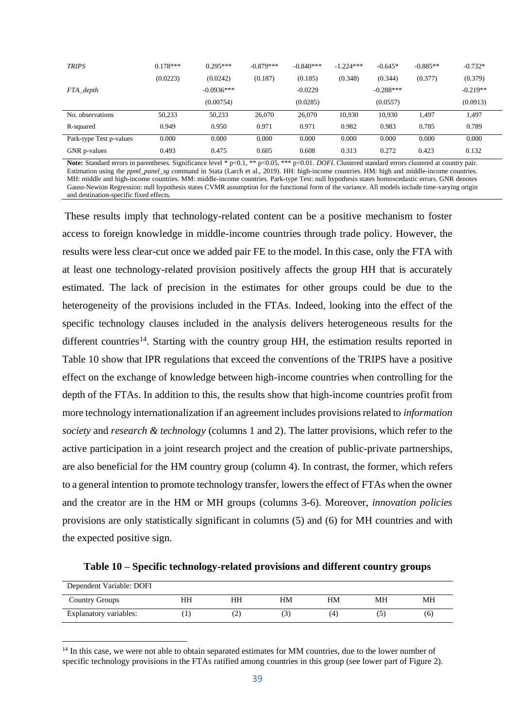| <b>TRIPS</b>            | $0.178***$ | $0.295***$   | $-0.879***$ | $-0.840***$ | $-1.224***$ | $-0.645*$   | $-0.885**$ | $-0.732*$  |
|-------------------------|------------|--------------|-------------|-------------|-------------|-------------|------------|------------|
|                         | (0.0223)   | (0.0242)     | (0.187)     | (0.185)     | (0.348)     | (0.344)     | (0.377)    | (0.379)    |
| FTA_depth               |            | $-0.0936***$ |             | $-0.0229$   |             | $-0.288***$ |            | $-0.219**$ |
|                         |            | (0.00754)    |             | (0.0285)    |             | (0.0557)    |            | (0.0913)   |
| No. observations        | 50,233     | 50,233       | 26,070      | 26,070      | 10,930      | 10.930      | 1.497      | 1,497      |
| R-squared               | 0.949      | 0.950        | 0.971       | 0.971       | 0.982       | 0.983       | 0.785      | 0.789      |
| Park-type Test p-values | 0.000      | 0.000        | 0.000       | 0.000       | 0.000       | 0.000       | 0.000      | 0.000      |
| GNR p-values            | 0.493      | 0.475        | 0.605       | 0.608       | 0.313       | 0.272       | 0.423      | 0.132      |

Note: Standard errors in parentheses. Significance level \* p<0.1, \*\* p<0.05, \*\*\* p<0.01. *DOFI*. Clustered standard errors clustered at country pair. Estimation using the *ppml\_panel\_sg* command in Stata (Larch et al., 2019). HH: high-income countries. HM: high and middle-income countries. MH: middle and high-income countries. MM: middle-income countries. Park-type Test: null hypothesis states homoscedastic errors. GNR denotes Gauss-Newton Regression: null hypothesis states CVMR assumption for the functional form of the variance. All models include time-varying origin and destination-specific fixed effects.

These results imply that technology-related content can be a positive mechanism to foster access to foreign knowledge in middle-income countries through trade policy. However, the results were less clear-cut once we added pair FE to the model. In this case, only the FTA with at least one technology-related provision positively affects the group HH that is accurately estimated. The lack of precision in the estimates for other groups could be due to the heterogeneity of the provisions included in the FTAs. Indeed, looking into the effect of the specific technology clauses included in the analysis delivers heterogeneous results for the different countries<sup>14</sup>. Starting with the country group HH, the estimation results reported in Table 10 show that IPR regulations that exceed the conventions of the TRIPS have a positive effect on the exchange of knowledge between high-income countries when controlling for the depth of the FTAs. In addition to this, the results show that high-income countries profit from more technology internationalization if an agreement includes provisions related to *information society* and *research & technology* (columns 1 and 2). The latter provisions, which refer to the active participation in a joint research project and the creation of public-private partnerships, are also beneficial for the HM country group (column 4). In contrast, the former, which refers to a general intention to promote technology transfer, lowers the effect of FTAs when the owner and the creator are in the HM or MH groups (columns 3-6). Moreover, *innovation policies* provisions are only statistically significant in columns (5) and (6) for MH countries and with the expected positive sign.

**Table 10 – Specific technology-related provisions and different country groups**

| Dependent Variable: DOFI |    |    |    |     |    |     |
|--------------------------|----|----|----|-----|----|-----|
| Country Groups           | HH | HH | HМ | HM  | MН | МH  |
| Explanatory variables:   |    | ∼  |    | (4. |    | (6) |

<sup>&</sup>lt;sup>14</sup> In this case, we were not able to obtain separated estimates for MM countries, due to the lower number of specific technology provisions in the FTAs ratified among countries in this group (see lower part of Figure 2).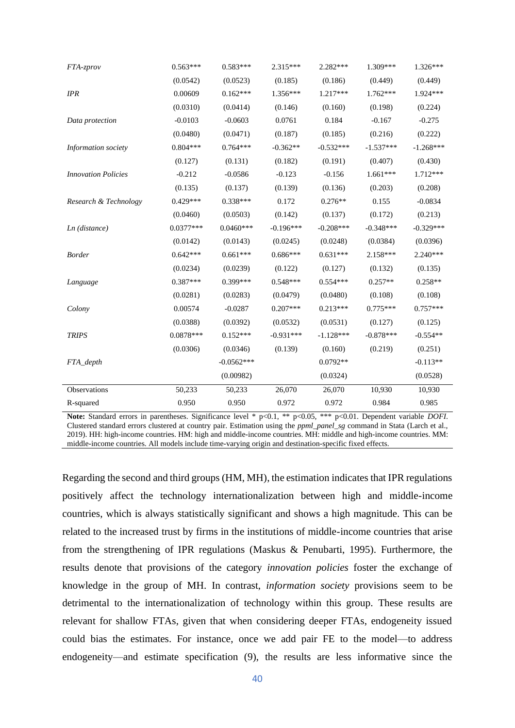| FTA-zprov                  | $0.563***$  | $0.583***$   | $2.315***$  | 2.282***    | 1.309***    | $1.326***$  |
|----------------------------|-------------|--------------|-------------|-------------|-------------|-------------|
|                            | (0.0542)    | (0.0523)     | (0.185)     | (0.186)     | (0.449)     | (0.449)     |
| <b>IPR</b>                 | 0.00609     | $0.162***$   | 1.356***    | 1.217***    | $1.762***$  | 1.924 ***   |
|                            | (0.0310)    | (0.0414)     | (0.146)     | (0.160)     | (0.198)     | (0.224)     |
| Data protection            | $-0.0103$   | $-0.0603$    | 0.0761      | 0.184       | $-0.167$    | $-0.275$    |
|                            | (0.0480)    | (0.0471)     | (0.187)     | (0.185)     | (0.216)     | (0.222)     |
| Information society        | $0.804***$  | $0.764***$   | $-0.362**$  | $-0.532***$ | $-1.537***$ | $-1.268***$ |
|                            | (0.127)     | (0.131)      | (0.182)     | (0.191)     | (0.407)     | (0.430)     |
| <b>Innovation Policies</b> | $-0.212$    | $-0.0586$    | $-0.123$    | $-0.156$    | $1.661***$  | 1.712***    |
|                            | (0.135)     | (0.137)      | (0.139)     | (0.136)     | (0.203)     | (0.208)     |
| Research & Technology      | $0.429***$  | $0.338***$   | 0.172       | $0.276**$   | 0.155       | $-0.0834$   |
|                            | (0.0460)    | (0.0503)     | (0.142)     | (0.137)     | (0.172)     | (0.213)     |
| $Ln$ (distance)            | $0.0377***$ | $0.0460***$  | $-0.196***$ | $-0.208***$ | $-0.348***$ | $-0.329***$ |
|                            | (0.0142)    | (0.0143)     | (0.0245)    | (0.0248)    | (0.0384)    | (0.0396)    |
| <b>Border</b>              | $0.642***$  | $0.661***$   | $0.686***$  | $0.631***$  | $2.158***$  | $2.240***$  |
|                            | (0.0234)    | (0.0239)     | (0.122)     | (0.127)     | (0.132)     | (0.135)     |
| Language                   | $0.387***$  | 0.399***     | $0.548***$  | $0.554***$  | $0.257**$   | $0.258**$   |
|                            | (0.0281)    | (0.0283)     | (0.0479)    | (0.0480)    | (0.108)     | (0.108)     |
| Colony                     | 0.00574     | $-0.0287$    | $0.207***$  | $0.213***$  | $0.775***$  | $0.757***$  |
|                            | (0.0388)    | (0.0392)     | (0.0532)    | (0.0531)    | (0.127)     | (0.125)     |
| <b>TRIPS</b>               | $0.0878***$ | $0.152***$   | $-0.931***$ | $-1.128***$ | $-0.878***$ | $-0.554**$  |
|                            | (0.0306)    | (0.0346)     | (0.139)     | (0.160)     | (0.219)     | (0.251)     |
| FTA_depth                  |             | $-0.0562***$ |             | $0.0792**$  |             | $-0.113**$  |
|                            |             | (0.00982)    |             | (0.0324)    |             | (0.0528)    |
| Observations               | 50,233      | 50,233       | 26,070      | 26,070      | 10,930      | 10,930      |
| R-squared                  | 0.950       | 0.950        | 0.972       | 0.972       | 0.984       | 0.985       |

Note: Standard errors in parentheses. Significance level \* p<0.1, \*\* p<0.05, \*\*\* p<0.01. Dependent variable *DOFI*. Clustered standard errors clustered at country pair. Estimation using the *ppml\_panel\_sg* command in Stata (Larch et al., 2019). HH: high-income countries. HM: high and middle-income countries. MH: middle and high-income countries. MM: middle-income countries. All models include time-varying origin and destination-specific fixed effects.

Regarding the second and third groups (HM, MH), the estimation indicates that IPR regulations positively affect the technology internationalization between high and middle-income countries, which is always statistically significant and shows a high magnitude. This can be related to the increased trust by firms in the institutions of middle-income countries that arise from the strengthening of IPR regulations (Maskus & Penubarti, 1995). Furthermore, the results denote that provisions of the category *innovation policies* foster the exchange of knowledge in the group of MH. In contrast, *information society* provisions seem to be detrimental to the internationalization of technology within this group. These results are relevant for shallow FTAs, given that when considering deeper FTAs, endogeneity issued could bias the estimates. For instance, once we add pair FE to the model—to address endogeneity—and estimate specification (9), the results are less informative since the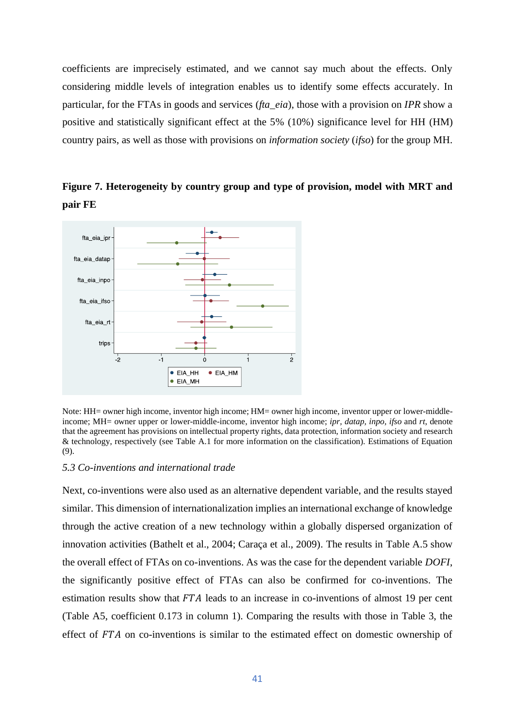coefficients are imprecisely estimated, and we cannot say much about the effects. Only considering middle levels of integration enables us to identify some effects accurately. In particular, for the FTAs in goods and services (*fta\_eia*), those with a provision on *IPR* show a positive and statistically significant effect at the 5% (10%) significance level for HH (HM) country pairs, as well as those with provisions on *information society* (*ifso*) for the group MH.

**Figure 7. Heterogeneity by country group and type of provision, model with MRT and pair FE**



Note: HH= owner high income, inventor high income; HM= owner high income, inventor upper or lower-middleincome; MH= owner upper or lower-middle-income, inventor high income; *ipr, datap, inpo, ifso* and *rt*, denote that the agreement has provisions on intellectual property rights, data protection, information society and research & technology, respectively (see Table A.1 for more information on the classification). Estimations of Equation (9).

### *5.3 Co-inventions and international trade*

Next, co-inventions were also used as an alternative dependent variable, and the results stayed similar. This dimension of internationalization implies an international exchange of knowledge through the active creation of a new technology within a globally dispersed organization of innovation activities (Bathelt et al., 2004; Caraça et al., 2009). The results in Table A.5 show the overall effect of FTAs on co-inventions. As was the case for the dependent variable *DOFI*, the significantly positive effect of FTAs can also be confirmed for co-inventions. The estimation results show that  $FTA$  leads to an increase in co-inventions of almost 19 per cent (Table A5, coefficient 0.173 in column 1). Comparing the results with those in Table 3, the effect of  $FTA$  on co-inventions is similar to the estimated effect on domestic ownership of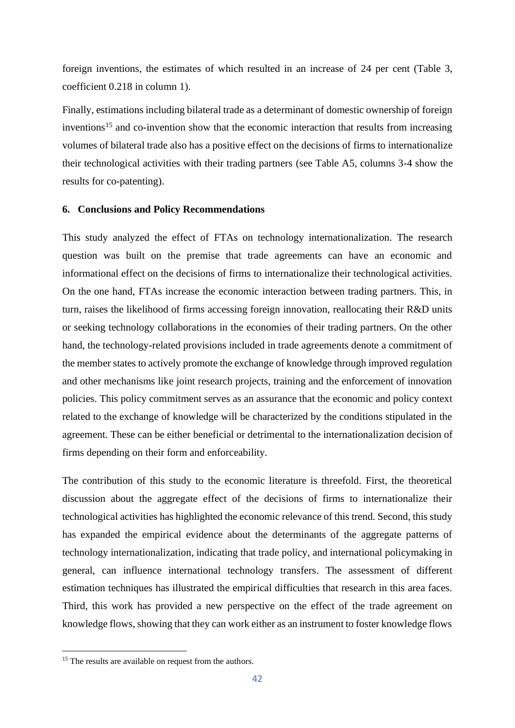foreign inventions, the estimates of which resulted in an increase of 24 per cent (Table 3, coefficient 0.218 in column 1).

Finally, estimations including bilateral trade as a determinant of domestic ownership of foreign inventions<sup>15</sup> and co-invention show that the economic interaction that results from increasing volumes of bilateral trade also has a positive effect on the decisions of firms to internationalize their technological activities with their trading partners (see Table A5, columns 3-4 show the results for co-patenting).

### **6. Conclusions and Policy Recommendations**

This study analyzed the effect of FTAs on technology internationalization. The research question was built on the premise that trade agreements can have an economic and informational effect on the decisions of firms to internationalize their technological activities. On the one hand, FTAs increase the economic interaction between trading partners. This, in turn, raises the likelihood of firms accessing foreign innovation, reallocating their R&D units or seeking technology collaborations in the economies of their trading partners. On the other hand, the technology-related provisions included in trade agreements denote a commitment of the member states to actively promote the exchange of knowledge through improved regulation and other mechanisms like joint research projects, training and the enforcement of innovation policies. This policy commitment serves as an assurance that the economic and policy context related to the exchange of knowledge will be characterized by the conditions stipulated in the agreement. These can be either beneficial or detrimental to the internationalization decision of firms depending on their form and enforceability.

The contribution of this study to the economic literature is threefold. First, the theoretical discussion about the aggregate effect of the decisions of firms to internationalize their technological activities has highlighted the economic relevance of this trend. Second, this study has expanded the empirical evidence about the determinants of the aggregate patterns of technology internationalization, indicating that trade policy, and international policymaking in general, can influence international technology transfers. The assessment of different estimation techniques has illustrated the empirical difficulties that research in this area faces. Third, this work has provided a new perspective on the effect of the trade agreement on knowledge flows, showing that they can work either as an instrument to foster knowledge flows

<sup>&</sup>lt;sup>15</sup> The results are available on request from the authors.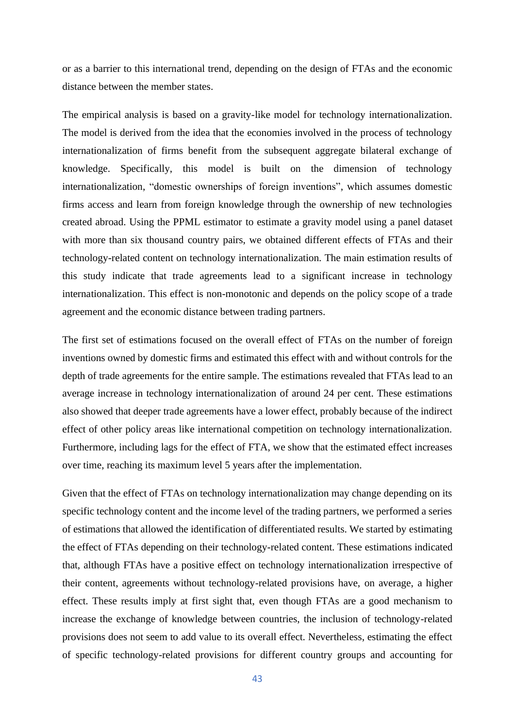or as a barrier to this international trend, depending on the design of FTAs and the economic distance between the member states.

The empirical analysis is based on a gravity-like model for technology internationalization. The model is derived from the idea that the economies involved in the process of technology internationalization of firms benefit from the subsequent aggregate bilateral exchange of knowledge. Specifically, this model is built on the dimension of technology internationalization, "domestic ownerships of foreign inventions", which assumes domestic firms access and learn from foreign knowledge through the ownership of new technologies created abroad. Using the PPML estimator to estimate a gravity model using a panel dataset with more than six thousand country pairs, we obtained different effects of FTAs and their technology-related content on technology internationalization. The main estimation results of this study indicate that trade agreements lead to a significant increase in technology internationalization. This effect is non-monotonic and depends on the policy scope of a trade agreement and the economic distance between trading partners.

The first set of estimations focused on the overall effect of FTAs on the number of foreign inventions owned by domestic firms and estimated this effect with and without controls for the depth of trade agreements for the entire sample. The estimations revealed that FTAs lead to an average increase in technology internationalization of around 24 per cent. These estimations also showed that deeper trade agreements have a lower effect, probably because of the indirect effect of other policy areas like international competition on technology internationalization. Furthermore, including lags for the effect of FTA, we show that the estimated effect increases over time, reaching its maximum level 5 years after the implementation.

Given that the effect of FTAs on technology internationalization may change depending on its specific technology content and the income level of the trading partners, we performed a series of estimations that allowed the identification of differentiated results. We started by estimating the effect of FTAs depending on their technology-related content. These estimations indicated that, although FTAs have a positive effect on technology internationalization irrespective of their content, agreements without technology-related provisions have, on average, a higher effect. These results imply at first sight that, even though FTAs are a good mechanism to increase the exchange of knowledge between countries, the inclusion of technology-related provisions does not seem to add value to its overall effect. Nevertheless, estimating the effect of specific technology-related provisions for different country groups and accounting for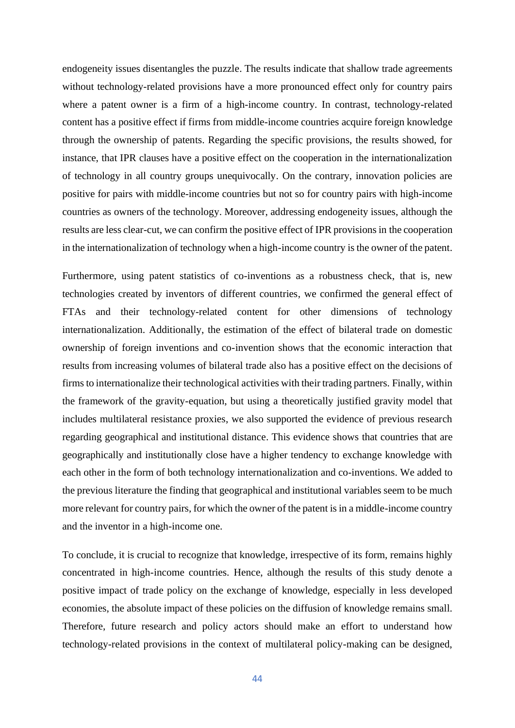endogeneity issues disentangles the puzzle. The results indicate that shallow trade agreements without technology-related provisions have a more pronounced effect only for country pairs where a patent owner is a firm of a high-income country. In contrast, technology-related content has a positive effect if firms from middle-income countries acquire foreign knowledge through the ownership of patents. Regarding the specific provisions, the results showed, for instance, that IPR clauses have a positive effect on the cooperation in the internationalization of technology in all country groups unequivocally. On the contrary, innovation policies are positive for pairs with middle-income countries but not so for country pairs with high-income countries as owners of the technology. Moreover, addressing endogeneity issues, although the results are less clear-cut, we can confirm the positive effect of IPR provisions in the cooperation in the internationalization of technology when a high-income country is the owner of the patent.

Furthermore, using patent statistics of co-inventions as a robustness check, that is, new technologies created by inventors of different countries, we confirmed the general effect of FTAs and their technology-related content for other dimensions of technology internationalization. Additionally, the estimation of the effect of bilateral trade on domestic ownership of foreign inventions and co-invention shows that the economic interaction that results from increasing volumes of bilateral trade also has a positive effect on the decisions of firms to internationalize their technological activities with their trading partners. Finally, within the framework of the gravity-equation, but using a theoretically justified gravity model that includes multilateral resistance proxies, we also supported the evidence of previous research regarding geographical and institutional distance. This evidence shows that countries that are geographically and institutionally close have a higher tendency to exchange knowledge with each other in the form of both technology internationalization and co-inventions. We added to the previous literature the finding that geographical and institutional variables seem to be much more relevant for country pairs, for which the owner of the patent is in a middle-income country and the inventor in a high-income one.

To conclude, it is crucial to recognize that knowledge, irrespective of its form, remains highly concentrated in high-income countries. Hence, although the results of this study denote a positive impact of trade policy on the exchange of knowledge, especially in less developed economies, the absolute impact of these policies on the diffusion of knowledge remains small. Therefore, future research and policy actors should make an effort to understand how technology-related provisions in the context of multilateral policy-making can be designed,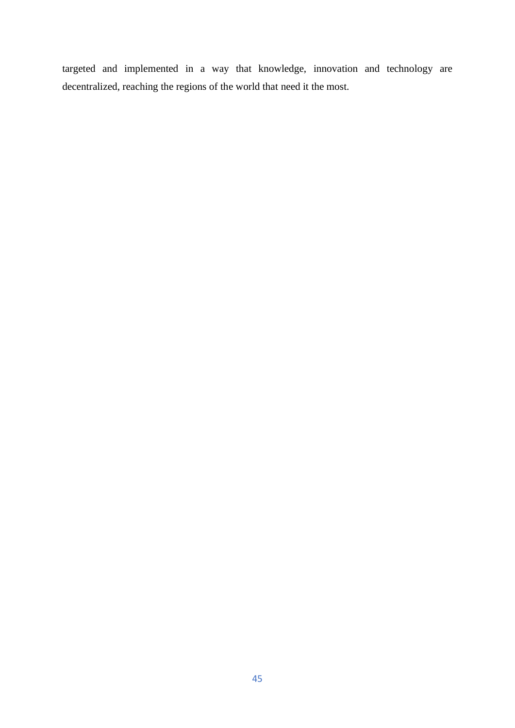targeted and implemented in a way that knowledge, innovation and technology are decentralized, reaching the regions of the world that need it the most.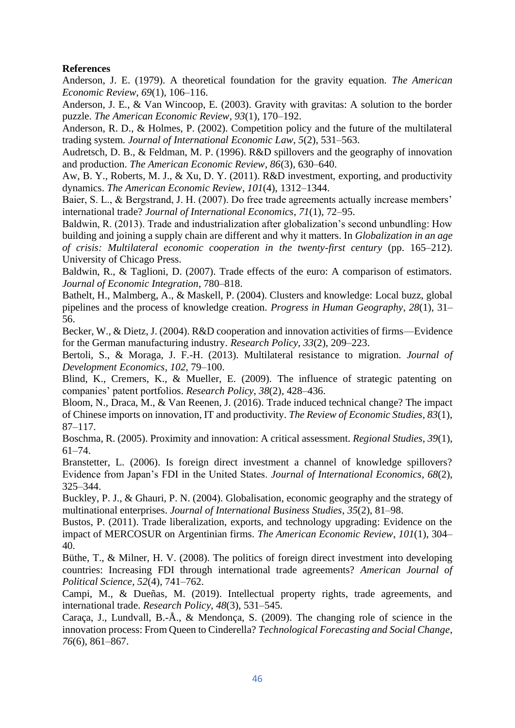# **References**

Anderson, J. E. (1979). A theoretical foundation for the gravity equation. *The American Economic Review*, *69*(1), 106–116.

Anderson, J. E., & Van Wincoop, E. (2003). Gravity with gravitas: A solution to the border puzzle. *The American Economic Review*, *93*(1), 170–192.

Anderson, R. D., & Holmes, P. (2002). Competition policy and the future of the multilateral trading system. *Journal of International Economic Law*, *5*(2), 531–563.

Audretsch, D. B., & Feldman, M. P. (1996). R&D spillovers and the geography of innovation and production. *The American Economic Review*, *86*(3), 630–640.

Aw, B. Y., Roberts, M. J., & Xu, D. Y. (2011). R&D investment, exporting, and productivity dynamics. *The American Economic Review*, *101*(4), 1312–1344.

Baier, S. L., & Bergstrand, J. H. (2007). Do free trade agreements actually increase members' international trade? *Journal of International Economics*, *71*(1), 72–95.

Baldwin, R. (2013). Trade and industrialization after globalization's second unbundling: How building and joining a supply chain are different and why it matters. In *Globalization in an age of crisis: Multilateral economic cooperation in the twenty-first century* (pp. 165–212). University of Chicago Press.

Baldwin, R., & Taglioni, D. (2007). Trade effects of the euro: A comparison of estimators. *Journal of Economic Integration*, 780–818.

Bathelt, H., Malmberg, A., & Maskell, P. (2004). Clusters and knowledge: Local buzz, global pipelines and the process of knowledge creation. *Progress in Human Geography*, *28*(1), 31– 56.

Becker, W., & Dietz, J. (2004). R&D cooperation and innovation activities of firms—Evidence for the German manufacturing industry. *Research Policy*, *33*(2), 209–223.

Bertoli, S., & Moraga, J. F.-H. (2013). Multilateral resistance to migration. *Journal of Development Economics*, *102*, 79–100.

Blind, K., Cremers, K., & Mueller, E. (2009). The influence of strategic patenting on companies' patent portfolios. *Research Policy*, *38*(2), 428–436.

Bloom, N., Draca, M., & Van Reenen, J. (2016). Trade induced technical change? The impact of Chinese imports on innovation, IT and productivity. *The Review of Economic Studies*, *83*(1), 87–117.

Boschma, R. (2005). Proximity and innovation: A critical assessment. *Regional Studies*, *39*(1), 61–74.

Branstetter, L. (2006). Is foreign direct investment a channel of knowledge spillovers? Evidence from Japan's FDI in the United States. *Journal of International Economics*, *68*(2), 325–344.

Buckley, P. J., & Ghauri, P. N. (2004). Globalisation, economic geography and the strategy of multinational enterprises. *Journal of International Business Studies*, *35*(2), 81–98.

Bustos, P. (2011). Trade liberalization, exports, and technology upgrading: Evidence on the impact of MERCOSUR on Argentinian firms. *The American Economic Review*, *101*(1), 304– 40.

Büthe, T., & Milner, H. V. (2008). The politics of foreign direct investment into developing countries: Increasing FDI through international trade agreements? *American Journal of Political Science*, *52*(4), 741–762.

Campi, M., & Dueñas, M. (2019). Intellectual property rights, trade agreements, and international trade. *Research Policy*, *48*(3), 531–545.

Caraça, J., Lundvall, B.-Å., & Mendonça, S. (2009). The changing role of science in the innovation process: From Queen to Cinderella? *Technological Forecasting and Social Change*, *76*(6), 861–867.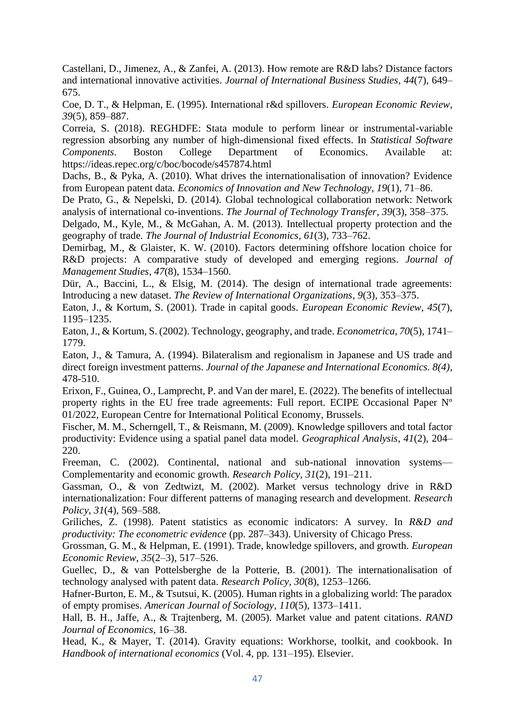Castellani, D., Jimenez, A., & Zanfei, A. (2013). How remote are R&D labs? Distance factors and international innovative activities. *Journal of International Business Studies*, *44*(7), 649– 675.

Coe, D. T., & Helpman, E. (1995). International r&d spillovers. *European Economic Review*, *39*(5), 859–887.

Correia, S. (2018). REGHDFE: Stata module to perform linear or instrumental-variable regression absorbing any number of high-dimensional fixed effects. In *Statistical Software Components*. Boston College Department of Economics. Available at: https://ideas.repec.org/c/boc/bocode/s457874.html

Dachs, B., & Pyka, A. (2010). What drives the internationalisation of innovation? Evidence from European patent data. *Economics of Innovation and New Technology*, *19*(1), 71–86.

De Prato, G., & Nepelski, D. (2014). Global technological collaboration network: Network analysis of international co-inventions. *The Journal of Technology Transfer*, *39*(3), 358–375.

Delgado, M., Kyle, M., & McGahan, A. M. (2013). Intellectual property protection and the geography of trade. *The Journal of Industrial Economics*, *61*(3), 733–762.

Demirbag, M., & Glaister, K. W. (2010). Factors determining offshore location choice for R&D projects: A comparative study of developed and emerging regions. *Journal of Management Studies*, *47*(8), 1534–1560.

Dür, A., Baccini, L., & Elsig, M. (2014). The design of international trade agreements: Introducing a new dataset. *The Review of International Organizations*, *9*(3), 353–375.

Eaton, J., & Kortum, S. (2001). Trade in capital goods. *European Economic Review*, *45*(7), 1195–1235.

Eaton, J., & Kortum, S. (2002). Technology, geography, and trade. *Econometrica*, *70*(5), 1741– 1779.

Eaton, J., & Tamura, A. (1994). Bilateralism and regionalism in Japanese and US trade and direct foreign investment patterns. *Journal of the Japanese and International Economics. 8(4)*, 478-510.

Erixon, F., Guinea, O., Lamprecht, P. and Van der marel, E. (2022). The benefits of intellectual property rights in the EU free trade agreements: Full report. ECIPE Occasional Paper Nº 01/2022, European Centre for International Political Economy, Brussels.

Fischer, M. M., Scherngell, T., & Reismann, M. (2009). Knowledge spillovers and total factor productivity: Evidence using a spatial panel data model. *Geographical Analysis*, *41*(2), 204– 220.

Freeman, C. (2002). Continental, national and sub-national innovation systems— Complementarity and economic growth. *Research Policy*, *31*(2), 191–211.

Gassman, O., & von Zedtwizt, M. (2002). Market versus technology drive in R&D internationalization: Four different patterns of managing research and development. *Research Policy*, *31*(4), 569–588.

Griliches, Z. (1998). Patent statistics as economic indicators: A survey. In *R&D and productivity: The econometric evidence* (pp. 287–343). University of Chicago Press.

Grossman, G. M., & Helpman, E. (1991). Trade, knowledge spillovers, and growth. *European Economic Review*, *35*(2–3), 517–526.

Guellec, D., & van Pottelsberghe de la Potterie, B. (2001). The internationalisation of technology analysed with patent data. *Research Policy*, *30*(8), 1253–1266.

Hafner-Burton, E. M., & Tsutsui, K. (2005). Human rights in a globalizing world: The paradox of empty promises. *American Journal of Sociology*, *110*(5), 1373–1411.

Hall, B. H., Jaffe, A., & Trajtenberg, M. (2005). Market value and patent citations. *RAND Journal of Economics*, 16–38.

Head, K., & Mayer, T. (2014). Gravity equations: Workhorse, toolkit, and cookbook. In *Handbook of international economics* (Vol. 4, pp. 131–195). Elsevier.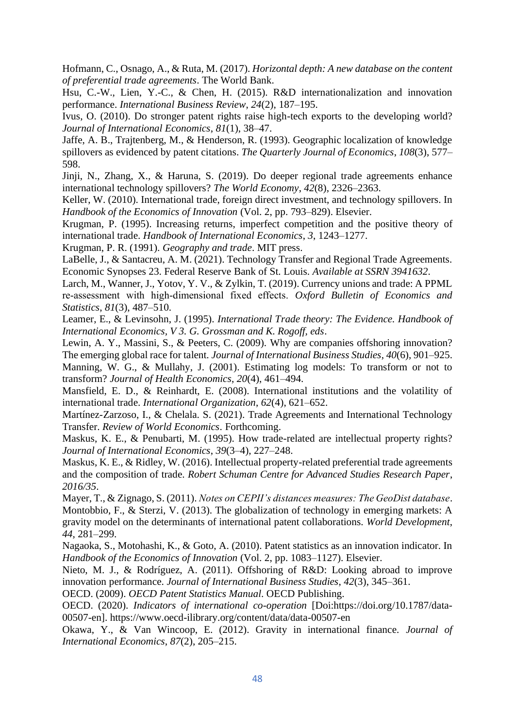Hofmann, C., Osnago, A., & Ruta, M. (2017). *Horizontal depth: A new database on the content of preferential trade agreements*. The World Bank.

Hsu, C.-W., Lien, Y.-C., & Chen, H. (2015). R&D internationalization and innovation performance. *International Business Review*, *24*(2), 187–195.

Ivus, O. (2010). Do stronger patent rights raise high-tech exports to the developing world? *Journal of International Economics*, *81*(1), 38–47.

Jaffe, A. B., Trajtenberg, M., & Henderson, R. (1993). Geographic localization of knowledge spillovers as evidenced by patent citations. *The Quarterly Journal of Economics*, *108*(3), 577– 598.

Jinji, N., Zhang, X., & Haruna, S. (2019). Do deeper regional trade agreements enhance international technology spillovers? *The World Economy*, *42*(8), 2326–2363.

Keller, W. (2010). International trade, foreign direct investment, and technology spillovers. In *Handbook of the Economics of Innovation* (Vol. 2, pp. 793–829). Elsevier.

Krugman, P. (1995). Increasing returns, imperfect competition and the positive theory of international trade. *Handbook of International Economics*, *3*, 1243–1277.

Krugman, P. R. (1991). *Geography and trade*. MIT press.

LaBelle, J., & Santacreu, A. M. (2021). Technology Transfer and Regional Trade Agreements. Economic Synopses 23. Federal Reserve Bank of St. Louis. *Available at SSRN 3941632*.

Larch, M., Wanner, J., Yotov, Y. V., & Zylkin, T. (2019). Currency unions and trade: A PPML re‐assessment with high‐dimensional fixed effects. *Oxford Bulletin of Economics and Statistics*, *81*(3), 487–510.

Leamer, E., & Levinsohn, J. (1995). *International Trade theory: The Evidence. Handbook of International Economics, V 3. G. Grossman and K. Rogoff, eds*.

Lewin, A. Y., Massini, S., & Peeters, C. (2009). Why are companies offshoring innovation? The emerging global race for talent. *Journal of International Business Studies*, *40*(6), 901–925.

Manning, W. G., & Mullahy, J. (2001). Estimating log models: To transform or not to transform? *Journal of Health Economics*, *20*(4), 461–494.

Mansfield, E. D., & Reinhardt, E. (2008). International institutions and the volatility of international trade. *International Organization*, *62*(4), 621–652.

Martínez-Zarzoso, I., & Chelala. S. (2021). Trade Agreements and International Technology Transfer. *Review of World Economics*. Forthcoming.

Maskus, K. E., & Penubarti, M. (1995). How trade-related are intellectual property rights? *Journal of International Economics*, *39*(3–4), 227–248.

Maskus, K. E., & Ridley, W. (2016). Intellectual property-related preferential trade agreements and the composition of trade. *Robert Schuman Centre for Advanced Studies Research Paper*, *2016/35*.

Mayer, T., & Zignago, S. (2011). *Notes on CEPII's distances measures: The GeoDist database*. Montobbio, F., & Sterzi, V. (2013). The globalization of technology in emerging markets: A gravity model on the determinants of international patent collaborations. *World Development*, *44*, 281–299.

Nagaoka, S., Motohashi, K., & Goto, A. (2010). Patent statistics as an innovation indicator. In *Handbook of the Economics of Innovation* (Vol. 2, pp. 1083–1127). Elsevier.

Nieto, M. J., & Rodríguez, A. (2011). Offshoring of R&D: Looking abroad to improve innovation performance. *Journal of International Business Studies*, *42*(3), 345–361.

OECD. (2009). *OECD Patent Statistics Manual*. OECD Publishing.

OECD. (2020). *Indicators of international co-operation* [Doi:https://doi.org/10.1787/data-00507-en]. https://www.oecd-ilibrary.org/content/data/data-00507-en

Okawa, Y., & Van Wincoop, E. (2012). Gravity in international finance. *Journal of International Economics*, *87*(2), 205–215.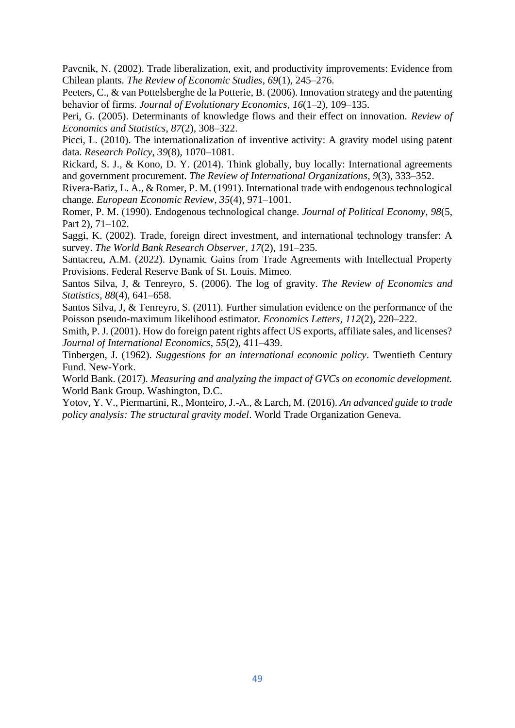Pavcnik, N. (2002). Trade liberalization, exit, and productivity improvements: Evidence from Chilean plants. *The Review of Economic Studies*, *69*(1), 245–276.

Peeters, C., & van Pottelsberghe de la Potterie, B. (2006). Innovation strategy and the patenting behavior of firms. *Journal of Evolutionary Economics*, *16*(1–2), 109–135.

Peri, G. (2005). Determinants of knowledge flows and their effect on innovation. *Review of Economics and Statistics*, *87*(2), 308–322.

Picci, L. (2010). The internationalization of inventive activity: A gravity model using patent data. *Research Policy*, *39*(8), 1070–1081.

Rickard, S. J., & Kono, D. Y. (2014). Think globally, buy locally: International agreements and government procurement. *The Review of International Organizations*, *9*(3), 333–352.

Rivera-Batiz, L. A., & Romer, P. M. (1991). International trade with endogenous technological change. *European Economic Review*, *35*(4), 971–1001.

Romer, P. M. (1990). Endogenous technological change. *Journal of Political Economy*, *98*(5, Part 2), 71–102.

Saggi, K. (2002). Trade, foreign direct investment, and international technology transfer: A survey. *The World Bank Research Observer*, *17*(2), 191–235.

Santacreu, A.M. (2022). Dynamic Gains from Trade Agreements with Intellectual Property Provisions. Federal Reserve Bank of St. Louis. Mimeo.

Santos Silva, J, & Tenreyro, S. (2006). The log of gravity. *The Review of Economics and Statistics*, *88*(4), 641–658.

Santos Silva, J, & Tenreyro, S. (2011). Further simulation evidence on the performance of the Poisson pseudo-maximum likelihood estimator. *Economics Letters*, *112*(2), 220–222.

Smith, P. J. (2001). How do foreign patent rights affect US exports, affiliate sales, and licenses? *Journal of International Economics*, *55*(2), 411–439.

Tinbergen, J. (1962). *Suggestions for an international economic policy*. Twentieth Century Fund. New-York.

World Bank. (2017). *Measuring and analyzing the impact of GVCs on economic development.*  World Bank Group. Washington, D.C.

Yotov, Y. V., Piermartini, R., Monteiro, J.-A., & Larch, M. (2016). *An advanced guide to trade policy analysis: The structural gravity model*. World Trade Organization Geneva.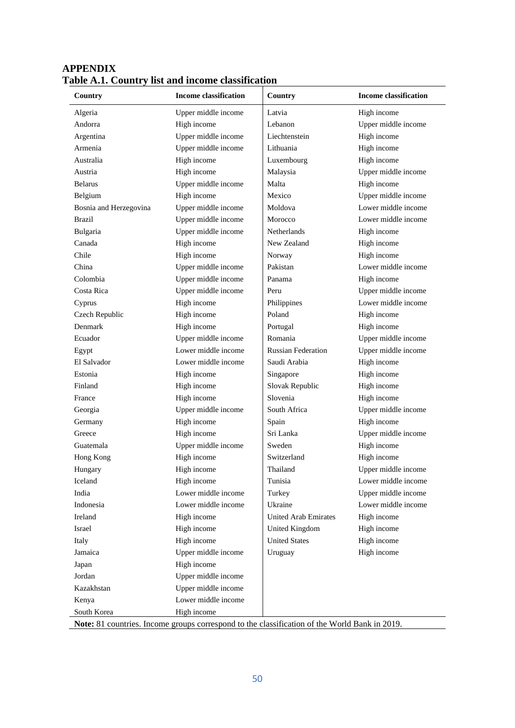| Country                | <b>Income classification</b> | Country                     | <b>Income classification</b> |
|------------------------|------------------------------|-----------------------------|------------------------------|
| Algeria                | Upper middle income          | Latvia                      | High income                  |
| Andorra                | High income                  | Lebanon                     | Upper middle income          |
| Argentina              | Upper middle income          | Liechtenstein               | High income                  |
| Armenia                | Upper middle income          | Lithuania                   | High income                  |
| Australia              | High income                  | Luxembourg                  | High income                  |
| Austria                | High income                  | Malaysia                    | Upper middle income          |
| <b>Belarus</b>         | Upper middle income          | Malta                       | High income                  |
| Belgium                | High income                  | Mexico                      | Upper middle income          |
| Bosnia and Herzegovina | Upper middle income          | Moldova                     | Lower middle income          |
| Brazil                 | Upper middle income          | Morocco                     | Lower middle income          |
| Bulgaria               | Upper middle income          | Netherlands                 | High income                  |
| Canada                 | High income                  | New Zealand                 | High income                  |
| Chile                  | High income                  | Norway                      | High income                  |
| China                  | Upper middle income          | Pakistan                    | Lower middle income          |
| Colombia               | Upper middle income          | Panama                      | High income                  |
| Costa Rica             | Upper middle income          | Peru                        | Upper middle income          |
| Cyprus                 | High income                  | Philippines                 | Lower middle income          |
| Czech Republic         | High income                  | Poland                      | High income                  |
| Denmark                | High income                  | Portugal                    | High income                  |
| Ecuador                | Upper middle income          | Romania                     | Upper middle income          |
| Egypt                  | Lower middle income          | <b>Russian Federation</b>   | Upper middle income          |
| El Salvador            | Lower middle income          | Saudi Arabia                | High income                  |
| Estonia                | High income                  | Singapore                   | High income                  |
| Finland                | High income                  | Slovak Republic             | High income                  |
| France                 | High income                  | Slovenia                    | High income                  |
| Georgia                | Upper middle income          | South Africa                | Upper middle income          |
| Germany                | High income                  | Spain                       | High income                  |
| Greece                 | High income                  | Sri Lanka                   | Upper middle income          |
| Guatemala              | Upper middle income          | Sweden                      | High income                  |
| Hong Kong              | High income                  | Switzerland                 | High income                  |
| Hungary                | High income                  | Thailand                    | Upper middle income          |
| Iceland                | High income                  | Tunisia                     | Lower middle income          |
| India                  | Lower middle income          | Turkey                      | Upper middle income          |
| Indonesia              | Lower middle income          | Ukraine                     | Lower middle income          |
| Ireland                | High income                  | <b>United Arab Emirates</b> | High income                  |
| Israel                 | High income                  | United Kingdom              | High income                  |
| Italy                  | High income                  | <b>United States</b>        | High income                  |
| Jamaica                | Upper middle income          | Uruguay                     | High income                  |
| Japan                  | High income                  |                             |                              |
| Jordan                 | Upper middle income          |                             |                              |
| Kazakhstan             | Upper middle income          |                             |                              |
| Kenya                  | Lower middle income          |                             |                              |
| South Korea            | High income                  |                             |                              |

# **APPENDIX Table A.1. Country list and income classification**

**Note:** 81 countries. Income groups correspond to the classification of the World Bank in 2019.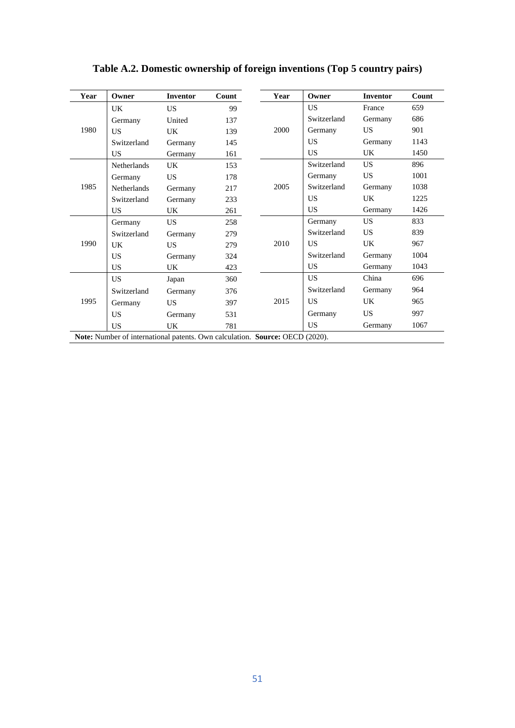| Year | Owner                                                                        | <b>Inventor</b> | Count | Year | Owner       | <b>Inventor</b> | Count |
|------|------------------------------------------------------------------------------|-----------------|-------|------|-------------|-----------------|-------|
|      | UK.                                                                          | <b>US</b>       | 99    |      | US.         | France          | 659   |
|      | Germany                                                                      | United          | 137   |      | Switzerland | Germany         | 686   |
| 1980 | <b>US</b>                                                                    | UK.             | 139   | 2000 | Germany     | <b>US</b>       | 901   |
|      | Switzerland                                                                  | Germany         | 145   |      | <b>US</b>   | Germany         | 1143  |
|      | <b>US</b>                                                                    | Germany         | 161   |      | <b>US</b>   | UK              | 1450  |
|      | Netherlands                                                                  | UK.             | 153   |      | Switzerland | <b>US</b>       | 896   |
|      | Germany                                                                      | <b>US</b>       | 178   |      | Germany     | US              | 1001  |
| 1985 | Netherlands                                                                  | Germany         | 217   | 2005 | Switzerland | Germany         | 1038  |
|      | Switzerland                                                                  | Germany         | 233   |      | US.         | <b>UK</b>       | 1225  |
|      | US.                                                                          | UK.             | 261   |      | US.         | Germany         | 1426  |
|      | Germany                                                                      | US.             | 258   |      | Germany     | <b>US</b>       | 833   |
|      | Switzerland                                                                  | Germany         | 279   |      | Switzerland | <b>US</b>       | 839   |
| 1990 | UK                                                                           | US.             | 279   | 2010 | US.         | <b>UK</b>       | 967   |
|      | US.                                                                          | Germany         | 324   |      | Switzerland | Germany         | 1004  |
|      | <b>US</b>                                                                    | UK              | 423   |      | <b>US</b>   | Germany         | 1043  |
|      | <b>US</b>                                                                    | Japan           | 360   |      | US.         | China           | 696   |
|      | Switzerland                                                                  | Germany         | 376   |      | Switzerland | Germany         | 964   |
| 1995 | Germany                                                                      | <b>US</b>       | 397   | 2015 | US.         | UK              | 965   |
|      | US                                                                           | Germany         | 531   |      | Germany     | <b>US</b>       | 997   |
|      | <b>US</b>                                                                    | <b>UK</b>       | 781   |      | <b>US</b>   | Germany         | 1067  |
|      | Note: Number of international patents. Own calculation. Source: OECD (2020). |                 |       |      |             |                 |       |

**Table A.2. Domestic ownership of foreign inventions (Top 5 country pairs)**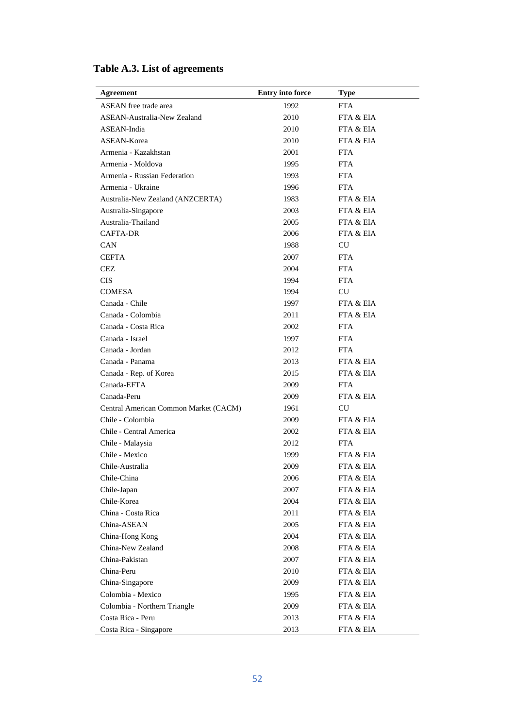| <b>Agreement</b>                      | <b>Entry into force</b> | <b>Type</b>          |
|---------------------------------------|-------------------------|----------------------|
| <b>ASEAN</b> free trade area          | 1992                    | <b>FTA</b>           |
| ASEAN-Australia-New Zealand           | 2010                    | FTA & EIA            |
| ASEAN-India                           | 2010                    | FTA & EIA            |
| ASEAN-Korea                           | 2010                    | FTA & EIA            |
| Armenia - Kazakhstan                  | 2001                    | <b>FTA</b>           |
| Armenia - Moldova                     | 1995                    | <b>FTA</b>           |
| Armenia - Russian Federation          | 1993                    | FTA.                 |
| Armenia - Ukraine                     | 1996                    | <b>FTA</b>           |
| Australia-New Zealand (ANZCERTA)      | 1983                    | FTA & EIA            |
| Australia-Singapore                   | 2003                    | <b>FTA &amp; EIA</b> |
| Australia-Thailand                    | 2005                    | FTA & EIA            |
| <b>CAFTA-DR</b>                       | 2006                    | FTA & EIA            |
| CAN                                   | 1988                    | CU                   |
| <b>CEFTA</b>                          | 2007                    | <b>FTA</b>           |
| CEZ.                                  | 2004                    | <b>FTA</b>           |
| <b>CIS</b>                            | 1994                    | <b>FTA</b>           |
| <b>COMESA</b>                         | 1994                    | <b>CU</b>            |
| Canada - Chile                        | 1997                    | FTA & EIA            |
| Canada - Colombia                     | 2011                    | <b>FTA &amp; EIA</b> |
| Canada - Costa Rica                   | 2002                    | <b>FTA</b>           |
| Canada - Israel                       | 1997                    | <b>FTA</b>           |
| Canada - Jordan                       | 2012                    | <b>FTA</b>           |
| Canada - Panama                       | 2013                    | FTA & EIA            |
| Canada - Rep. of Korea                | 2015                    | <b>FTA &amp; EIA</b> |
| Canada-EFTA                           | 2009                    | <b>FTA</b>           |
| Canada-Peru                           | 2009                    | FTA & EIA            |
| Central American Common Market (CACM) | 1961                    | CU                   |
| Chile - Colombia                      | 2009                    | FTA & EIA            |
| Chile - Central America               | 2002                    | FTA & EIA            |
| Chile - Malaysia                      | 2012                    | <b>FTA</b>           |
| Chile - Mexico                        | 1999                    | FTA & EIA            |
| Chile-Australia                       | 2009                    | FTA & EIA            |
| Chile-China                           | 2006                    | FTA & EIA            |
| Chile-Japan                           | 2007                    | FTA & EIA            |
| Chile-Korea                           | 2004                    | FTA & EIA            |
| China - Costa Rica                    | 2011                    | FTA & EIA            |
| China-ASEAN                           | 2005                    | FTA & EIA            |
| China-Hong Kong                       | 2004                    | FTA & EIA            |
| China-New Zealand                     | 2008                    | FTA & EIA            |
| China-Pakistan                        | 2007                    | FTA & EIA            |
| China-Peru                            | 2010                    | FTA & EIA            |
| China-Singapore                       | 2009                    | FTA & EIA            |
| Colombia - Mexico                     | 1995                    | FTA & EIA            |
| Colombia - Northern Triangle          | 2009                    | FTA & EIA            |
| Costa Rica - Peru                     | 2013                    | FTA & EIA            |
| Costa Rica - Singapore                | 2013                    | FTA & EIA            |

# **Table A.3. List of agreements**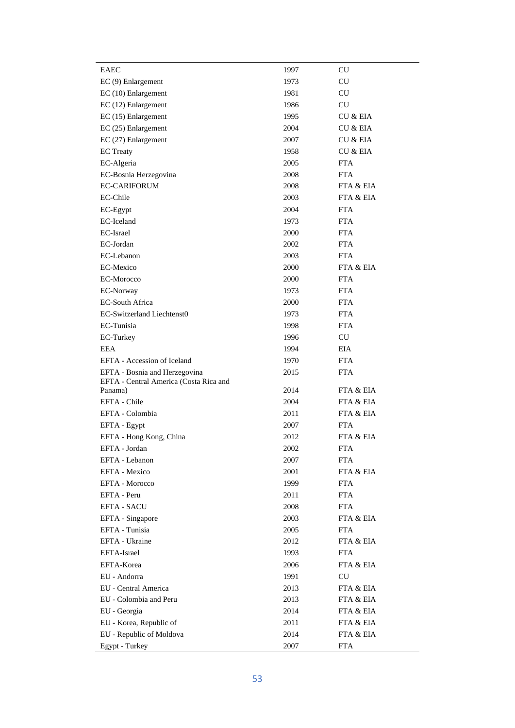| EAEC                                   | 1997 | <b>CU</b>            |  |
|----------------------------------------|------|----------------------|--|
| $EC(9)$ Enlargement                    | 1973 | <b>CU</b>            |  |
| EC (10) Enlargement                    | 1981 | CU                   |  |
| EC (12) Enlargement                    | 1986 | CU                   |  |
| EC (15) Enlargement                    | 1995 | <b>CU &amp; EIA</b>  |  |
| $EC(25)$ Enlargement                   | 2004 | <b>CU &amp; EIA</b>  |  |
| $EC(27)$ Enlargement                   | 2007 | <b>CU &amp; EIA</b>  |  |
| <b>EC</b> Treaty                       | 1958 | CU & EIA             |  |
| EC-Algeria                             | 2005 | <b>FTA</b>           |  |
| EC-Bosnia Herzegovina                  | 2008 | <b>FTA</b>           |  |
| <b>EC-CARIFORUM</b>                    | 2008 | FTA & EIA            |  |
| EC-Chile                               | 2003 | FTA & EIA            |  |
| EC-Egypt                               | 2004 | <b>FTA</b>           |  |
| EC-Iceland                             | 1973 | <b>FTA</b>           |  |
| EC-Israel                              | 2000 | <b>FTA</b>           |  |
| EC-Jordan                              | 2002 | <b>FTA</b>           |  |
| EC-Lebanon                             | 2003 | <b>FTA</b>           |  |
| EC-Mexico                              | 2000 | FTA & EIA            |  |
| EC-Morocco                             | 2000 | <b>FTA</b>           |  |
| EC-Norway                              | 1973 | <b>FTA</b>           |  |
| <b>EC-South Africa</b>                 | 2000 | <b>FTA</b>           |  |
| <b>EC-Switzerland Liechtenst0</b>      | 1973 | <b>FTA</b>           |  |
| EC-Tunisia                             | 1998 | <b>FTA</b>           |  |
| EC-Turkey                              | 1996 | CU                   |  |
| EEA                                    | 1994 | EIA                  |  |
| EFTA - Accession of Iceland            | 1970 | <b>FTA</b>           |  |
| EFTA - Bosnia and Herzegovina          | 2015 | <b>FTA</b>           |  |
| EFTA - Central America (Costa Rica and |      |                      |  |
| Panama)                                | 2014 | FTA & EIA            |  |
| EFTA - Chile                           | 2004 | FTA & EIA            |  |
| EFTA - Colombia                        | 2011 | FTA & EIA            |  |
| EFTA - Egypt                           | 2007 | <b>FTA</b>           |  |
| EFTA - Hong Kong, China                | 2012 | <b>FTA &amp; EIA</b> |  |
| EFTA - Jordan                          | 2002 | FTA                  |  |
| EFTA - Lebanon                         | 2007 | <b>FTA</b>           |  |
| EFTA - Mexico                          | 2001 | FTA & EIA            |  |
| EFTA - Morocco                         | 1999 | <b>FTA</b>           |  |
| EFTA - Peru                            | 2011 | <b>FTA</b>           |  |
| <b>EFTA - SACU</b>                     | 2008 | <b>FTA</b>           |  |
| EFTA - Singapore                       | 2003 | FTA & EIA            |  |
| EFTA - Tunisia                         | 2005 | <b>FTA</b>           |  |
| EFTA - Ukraine                         | 2012 | FTA & EIA            |  |
| EFTA-Israel                            | 1993 | <b>FTA</b>           |  |
| EFTA-Korea                             | 2006 | FTA & EIA            |  |
| EU - Andorra                           | 1991 | CU                   |  |
| EU - Central America                   | 2013 | FTA & EIA            |  |
| EU - Colombia and Peru                 | 2013 | FTA & EIA            |  |
| EU - Georgia                           | 2014 | FTA & EIA            |  |
| EU - Korea, Republic of                | 2011 | FTA & EIA            |  |
| EU - Republic of Moldova               | 2014 | FTA & EIA            |  |
| Egypt - Turkey                         | 2007 | FTA                  |  |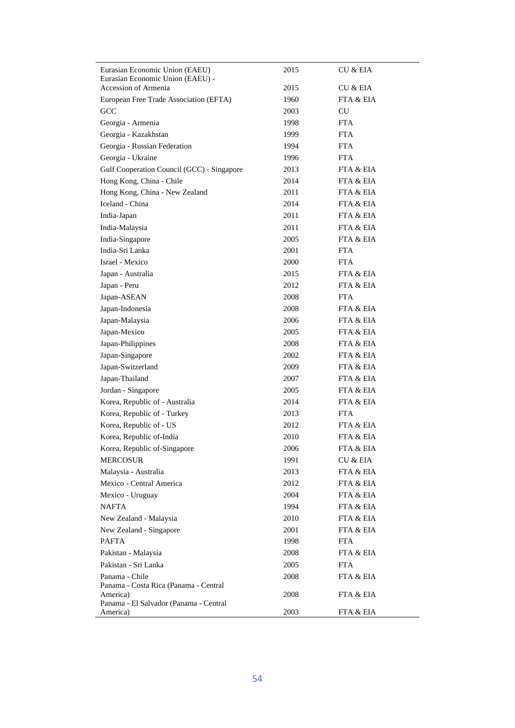| Eurasian Economic Union (EAEU)<br>Eurasian Economic Union (EAEU) -<br>Accession of Armenia | 2015<br>2015 | CU & EIA<br><b>CU &amp; EIA</b> |
|--------------------------------------------------------------------------------------------|--------------|---------------------------------|
| European Free Trade Association (EFTA)                                                     | 1960         | FTA & EIA                       |
| GCC                                                                                        | 2003         | CU                              |
| Georgia - Armenia                                                                          | 1998         | <b>FTA</b>                      |
| Georgia - Kazakhstan                                                                       | 1999         | <b>FTA</b>                      |
| Georgia - Russian Federation                                                               | 1994         | FTA                             |
| Georgia - Ukraine                                                                          | 1996         | FTA                             |
| Gulf Cooperation Council (GCC) - Singapore                                                 | 2013         | FTA & EIA                       |
| Hong Kong, China - Chile                                                                   | 2014         | FTA & EIA                       |
| Hong Kong, China - New Zealand                                                             | 2011         | FTA & EIA                       |
| Iceland - China                                                                            | 2014         | FTA & EIA                       |
| India-Japan                                                                                | 2011         | FTA & EIA                       |
| India-Malaysia                                                                             | 2011         | FTA & EIA                       |
| India-Singapore                                                                            | 2005         | FTA & EIA                       |
| India-Sri Lanka                                                                            | 2001         | FTA                             |
| Israel - Mexico                                                                            | 2000         | FTA                             |
|                                                                                            | 2015         | FTA & EIA                       |
| Japan - Australia                                                                          | 2012         | FTA & EIA                       |
| Japan - Peru                                                                               | 2008         | FTA                             |
| Japan-ASEAN<br>Japan-Indonesia                                                             | 2008         | FTA & EIA                       |
|                                                                                            |              | FTA & EIA                       |
| Japan-Malaysia                                                                             | 2006         |                                 |
| Japan-Mexico                                                                               | 2005         | FTA & EIA                       |
| Japan-Philippines                                                                          | 2008         | FTA & EIA                       |
| Japan-Singapore<br>Japan-Switzerland                                                       | 2002<br>2009 | FTA & EIA<br>FTA & EIA          |
| Japan-Thailand                                                                             | 2007         | FTA & EIA                       |
|                                                                                            | 2005         | FTA & EIA                       |
| Jordan - Singapore<br>Korea, Republic of - Australia                                       | 2014         | FTA & EIA                       |
| Korea, Republic of - Turkey                                                                | 2013         | <b>FTA</b>                      |
| Korea, Republic of - US                                                                    | 2012         | FTA & EIA                       |
| Korea, Republic of-India                                                                   | 2010         | FTA & EIA                       |
| Korea, Republic of-Singapore                                                               | 2006         | FTA & EIA                       |
| <b>MERCOSUR</b>                                                                            | 1991         | CU & EIA                        |
| Malaysia - Australia                                                                       |              | FTA & EIA                       |
| Mexico - Central America                                                                   | 2013<br>2012 | FTA & EIA                       |
|                                                                                            |              | FTA & EIA                       |
| Mexico - Uruguay                                                                           | 2004<br>1994 |                                 |
| NAFTA                                                                                      |              | FTA & EIA                       |
| New Zealand - Malaysia                                                                     | 2010         | FTA & EIA<br>FTA & EIA          |
| New Zealand - Singapore                                                                    | 2001         |                                 |
| <b>PAFTA</b>                                                                               | 1998         | FTA                             |
| Pakistan - Malaysia                                                                        | 2008         | FTA & EIA                       |
| Pakistan - Sri Lanka                                                                       | 2005         | <b>FTA</b>                      |
| Panama - Chile<br>Panama - Costa Rica (Panama - Central                                    | 2008         | FTA & EIA                       |
| America)                                                                                   | 2008         | FTA & EIA                       |
| Panama - El Salvador (Panama - Central<br>America)                                         | 2003         | FTA & EIA                       |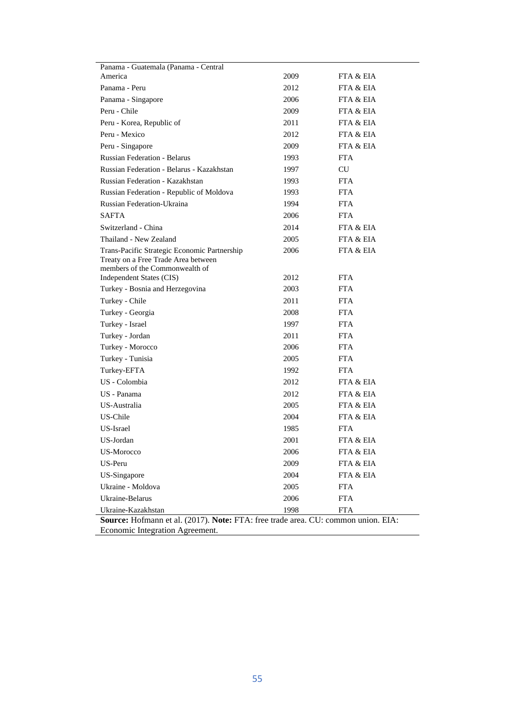| Panama - Guatemala (Panama - Central                                                                                  |      |            |
|-----------------------------------------------------------------------------------------------------------------------|------|------------|
| America                                                                                                               | 2009 | FTA & EIA  |
| Panama - Peru                                                                                                         | 2012 | FTA & EIA  |
| Panama - Singapore                                                                                                    | 2006 | FTA & EIA  |
| Peru - Chile                                                                                                          | 2009 | FTA & EIA  |
| Peru - Korea, Republic of                                                                                             | 2011 | FTA & EIA  |
| Peru - Mexico                                                                                                         | 2012 | FTA & EIA  |
| Peru - Singapore                                                                                                      | 2009 | FTA & EIA  |
| <b>Russian Federation - Belarus</b>                                                                                   | 1993 | <b>FTA</b> |
| Russian Federation - Belarus - Kazakhstan                                                                             | 1997 | CU         |
| Russian Federation - Kazakhstan                                                                                       | 1993 | <b>FTA</b> |
| Russian Federation - Republic of Moldova                                                                              | 1993 | <b>FTA</b> |
| Russian Federation-Ukraina                                                                                            | 1994 | <b>FTA</b> |
| <b>SAFTA</b>                                                                                                          | 2006 | <b>FTA</b> |
| Switzerland - China                                                                                                   | 2014 | FTA & EIA  |
| Thailand - New Zealand                                                                                                | 2005 | FTA & EIA  |
| Trans-Pacific Strategic Economic Partnership<br>Treaty on a Free Trade Area between<br>members of the Commonwealth of | 2006 | FTA & EIA  |
| Independent States (CIS)                                                                                              | 2012 | <b>FTA</b> |
| Turkey - Bosnia and Herzegovina                                                                                       | 2003 | <b>FTA</b> |
| Turkey - Chile                                                                                                        | 2011 | <b>FTA</b> |
| Turkey - Georgia                                                                                                      | 2008 | <b>FTA</b> |
| Turkey - Israel                                                                                                       | 1997 | <b>FTA</b> |
| Turkey - Jordan                                                                                                       | 2011 | <b>FTA</b> |
| Turkey - Morocco                                                                                                      | 2006 | <b>FTA</b> |
| Turkey - Tunisia                                                                                                      | 2005 | <b>FTA</b> |
| Turkey-EFTA                                                                                                           | 1992 | <b>FTA</b> |
| US - Colombia                                                                                                         | 2012 | FTA & EIA  |
| US - Panama                                                                                                           | 2012 | FTA & EIA  |
| US-Australia                                                                                                          | 2005 | FTA & EIA  |
| US-Chile                                                                                                              | 2004 | FTA & EIA  |
| US-Israel                                                                                                             | 1985 | <b>FTA</b> |
| US-Jordan                                                                                                             | 2001 | FTA & EIA  |
| US-Morocco                                                                                                            | 2006 | FTA & EIA  |
| US-Peru                                                                                                               | 2009 | FTA & EIA  |
| US-Singapore                                                                                                          | 2004 | FTA & EIA  |
| Ukraine - Moldova                                                                                                     | 2005 | <b>FTA</b> |
| Ukraine-Belarus                                                                                                       | 2006 | <b>FTA</b> |
| Ukraine-Kazakhstan                                                                                                    | 1998 | FTA        |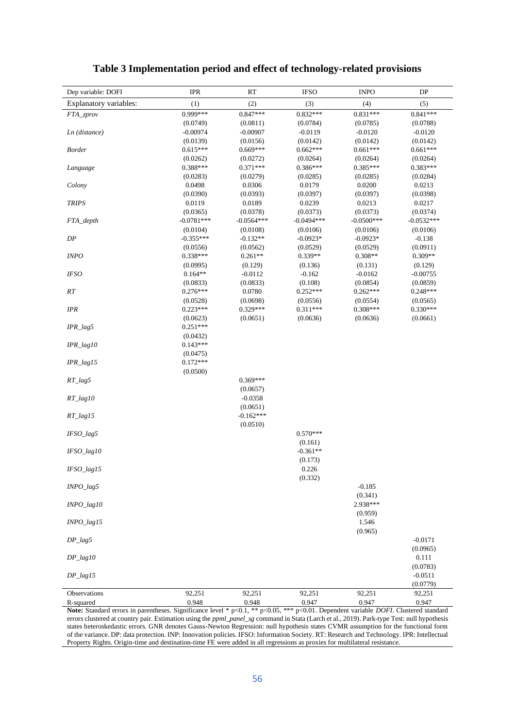| Dep variable: DOFI      | <b>IPR</b>         | RT                 | <b>IFSO</b>        | <b>INPO</b>        | DP                 |
|-------------------------|--------------------|--------------------|--------------------|--------------------|--------------------|
| Explanatory variables:  | (1)                | (2)                | (3)                | (4)                | (5)                |
| FTA_zprov               | $0.999***$         | $0.847***$         | $0.832***$         | $0.831***$         | $0.841***$         |
|                         | (0.0749)           | (0.0811)           | (0.0784)           | (0.0785)           | (0.0788)           |
| Ln (distance)           | $-0.00974$         | $-0.00907$         | $-0.0119$          | $-0.0120$          | $-0.0120$          |
|                         | (0.0139)           | (0.0156)           | (0.0142)           | (0.0142)           | (0.0142)           |
| <b>Border</b>           | $0.615***$         | $0.669***$         | $0.662***$         | $0.661***$         | $0.661***$         |
|                         | (0.0262)           | (0.0272)           | (0.0264)           | (0.0264)           | (0.0264)           |
| Language                | 0.388***           | $0.371***$         | $0.386***$         | 0.385***           | $0.383***$         |
|                         | (0.0283)           | (0.0279)           | (0.0285)           | (0.0285)           | (0.0284)           |
| Colony                  | 0.0498             | 0.0306             | 0.0179             | 0.0200             | 0.0213             |
| <b>TRIPS</b>            | (0.0390)<br>0.0119 | (0.0393)<br>0.0189 | (0.0397)<br>0.0239 | (0.0397)<br>0.0213 | (0.0398)<br>0.0217 |
|                         | (0.0365)           | (0.0378)           | (0.0373)           | (0.0373)           | (0.0374)           |
| FTA_depth               | $-0.0781***$       | $-0.0564***$       | $-0.0494***$       | $-0.0500***$       | $-0.0532***$       |
|                         | (0.0104)           | (0.0108)           | (0.0106)           | (0.0106)           | (0.0106)           |
| ${\cal DP}$             | $-0.355***$        | $-0.132**$         | $-0.0923*$         | $-0.0923*$         | $-0.138$           |
|                         | (0.0556)           | (0.0562)           | (0.0529)           | (0.0529)           | (0.0911)           |
| <i>INPO</i>             | $0.338***$         | $0.261**$          | $0.339**$          | $0.308**$          | $0.309**$          |
|                         | (0.0995)           | (0.129)            | (0.136)            | (0.131)            | (0.129)            |
| <b>IFSO</b>             | $0.164**$          | $-0.0112$          | $-0.162$           | $-0.0162$          | $-0.00755$         |
|                         | (0.0833)           | (0.0833)           | (0.108)            | (0.0854)           | (0.0859)           |
| RT                      | $0.276***$         | 0.0780             | $0.252***$         | $0.262***$         | $0.248***$         |
|                         | (0.0528)           | (0.0698)           | (0.0556)           | (0.0554)           | (0.0565)           |
| IPR                     | $0.223***$         | $0.329***$         | $0.311***$         | $0.308***$         | $0.330***$         |
|                         | (0.0623)           | (0.0651)           | (0.0636)           | (0.0636)           | (0.0661)           |
| $IPR\_lag5$             | $0.251***$         |                    |                    |                    |                    |
|                         | (0.0432)           |                    |                    |                    |                    |
| $IPR_{lag}10$           | $0.143***$         |                    |                    |                    |                    |
|                         | (0.0475)           |                    |                    |                    |                    |
| $IPR$ <sub>_lag15</sub> | $0.172***$         |                    |                    |                    |                    |
|                         | (0.0500)           |                    |                    |                    |                    |
| $RT\_lag5$              |                    | $0.369***$         |                    |                    |                    |
|                         |                    | (0.0657)           |                    |                    |                    |
| $RT\_lag10$             |                    | $-0.0358$          |                    |                    |                    |
|                         |                    | (0.0651)           |                    |                    |                    |
| $RT\_lag15$             |                    | $-0.162***$        |                    |                    |                    |
|                         |                    | (0.0510)           | $0.570***$         |                    |                    |
| $IFSO\_lag5$            |                    |                    | (0.161)            |                    |                    |
| IFSO_lag10              |                    |                    | $-0.361**$         |                    |                    |
|                         |                    |                    | (0.173)            |                    |                    |
| $IFSO_{2}$ lag15        |                    |                    | 0.226              |                    |                    |
|                         |                    |                    | (0.332)            |                    |                    |
| $INPO_{2}$              |                    |                    |                    | $-0.185$           |                    |
|                         |                    |                    |                    | (0.341)            |                    |
| $INPO\_lag10$           |                    |                    |                    | 2.938***           |                    |
|                         |                    |                    |                    | (0.959)            |                    |
| $INPO\_lag15$           |                    |                    |                    | 1.546              |                    |
|                         |                    |                    |                    | (0.965)            |                    |
| $DP_{lag5}$             |                    |                    |                    |                    | $-0.0171$          |
|                         |                    |                    |                    |                    | (0.0965)           |
| $DP\_lag10$             |                    |                    |                    |                    | 0.111              |
|                         |                    |                    |                    |                    | (0.0783)           |
| $DP_{lag15}$            |                    |                    |                    |                    | $-0.0511$          |
|                         |                    |                    |                    |                    | (0.0779)           |
| Observations            | 92,251             | 92,251             | 92,251             | 92,251             | 92,251             |
| R-squared               | 0.948              | 0.948              | 0.947              | 0.947              | 0.947              |

# **Table 3 Implementation period and effect of technology-related provisions**

**Note:** Standard errors in parentheses. Significance level \* p<0.1, \*\* p<0.05, \*\*\* p<0.01. Dependent variable *DOFI*. Clustered standard errors clustered at country pair. Estimation using the *ppml\_panel\_sg* command in Stata (Larch et al., 2019). Park-type Test: null hypothesis states heteroskedastic errors. GNR denotes Gauss-Newton Regression: null hypothesis states CVMR assumption for the functional form of the variance. DP: data protection. INP: Innovation policies. IFSO: Information Society. RT: Research and Technology. IPR: Intellectual Property Rights. Origin-time and destination-time FE were added in all regressions as proxies for multilateral resistance.